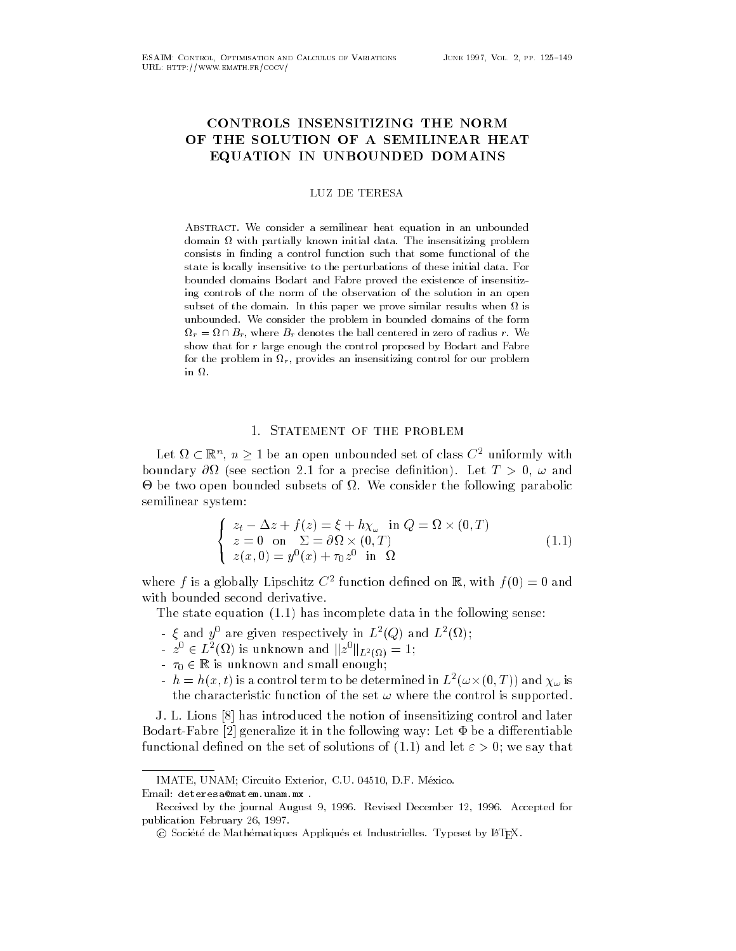## CONTROLS INSENSITIZING THE NORM OF THE SOLUTION OF A SEMILINEAR HEAT EQUATION IN UNBOUNDED DOMAINS

**LUZ DE TERESA** 

Abstract- We consider a semilinear heat equation in an unbounded domain with partially known initial data- The insensitizing problem consists in finding a control function such that some functional of the state is locally insensitive to the perturbations of these initial data- For bounded domains Bodart and Fabre proved the existence of insensitiz ing controls of the norm of the observation of the solution in an open subset of the domain- in this paper we prove similar results when  $\sim$  $\mathbf{u}$ unded-the problem in bounded-the problem in bounded domains of the form in bounded domains of the form r, and  $\alpha$  , where  $\alpha$  , and the ball centered in zero of radius  $\alpha$ show that for <sup>r</sup> large enough the control proposed by Bodart and Fabre for the problem in  $\Omega_r$ , provides an insensitizing control for our problem in  $\Omega$ .

## 1. STATEMENT OF THE PROBLEM

Let  $\Omega \subset \mathbb{R}^n$ ,  $n \geq 1$  be an open unbounded set of class  $C^2$  uniformly with boundary -- see section for a precise denition Let T and be two open bounded subsets of the following consider the following parabolic semilinear system

$$
\begin{cases}\n z_t - \Delta z + f(z) = \xi + h\chi_\omega \text{ in } Q = \Omega \times (0, T) \\
 z = 0 \text{ on } \Sigma = \partial\Omega \times (0, T) \\
 z(x, 0) = y^0(x) + \tau_0 z^0 \text{ in } \Omega\n\end{cases}
$$
\n(1.1)

where  $f$  is a globally Lipschitz  $C$  -tunction denned on  $\mathbb{R},$  with  $f(0) \equiv 0$  and with bounded second derivative

The state equation  $(1.1)$  has incomplete data in the following sense:

- $\zeta$  and  $y$  are given respectively in  $L^-(Q)$  and  $L^-(\Omega)$ ;
- $z^0 \in L^2(\Omega)$  is unknown and  $||z^0||_{L^2(\Omega)} = 1$ ;
- $\tau_0 \in \mathbb{R}$  is unknown and small enough;
- $h = h(x, t)$  is a control term to be determined in  $L^2(\omega \times (0, T))$  and  $\chi_\omega$  is the characteristic function of the set  $\omega$  where the control is supported.

J. L. Lions [8] has introduced the notion of insensitizing control and later Bodart-Fabre [2] generalize it in the following way: Let  $\Phi$  be a differentiable functional defined on the set of solutions of (1.1) and let  $\varepsilon > 0$ ; we say that

imate una metallo dell'altri della contratta della contratta della contratta della contratta della contratta d

Received by the journal August - Revised December  - Accepted for publication February 26, 1997.

C Societe de Mathematiques Appliques et industrielles. Typeset by ETEA.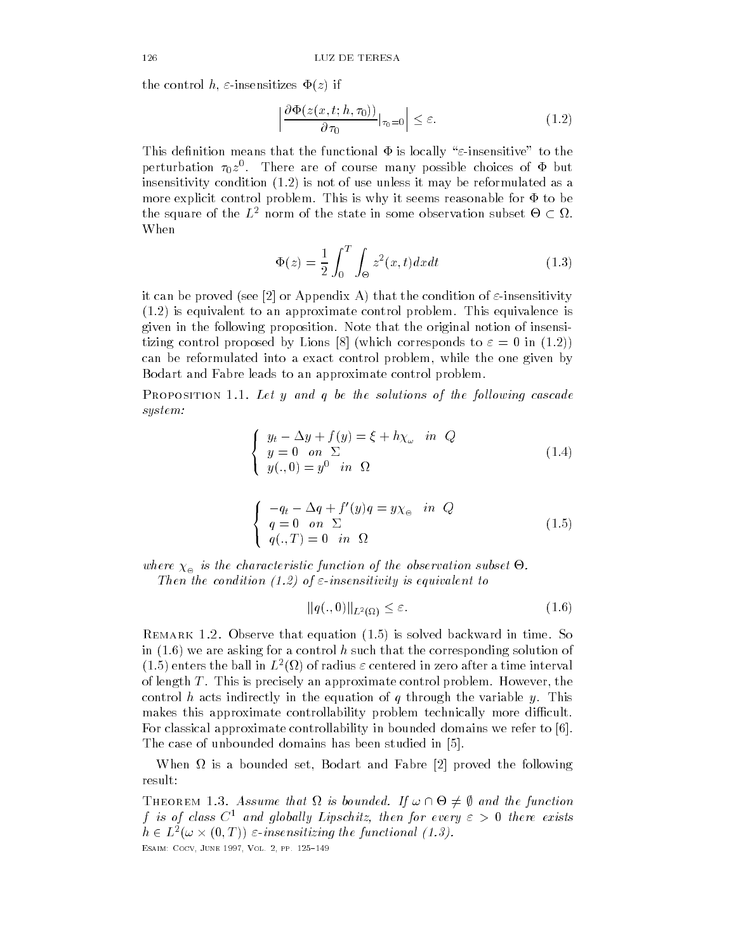$t \sim 1$  insensitizes z if  $t \sim 1$ 

$$
\left| \frac{\partial \Phi(z(x,t;h,\tau_0))}{\partial \tau_0} \right|_{\tau_0=0} \right| \le \varepsilon. \tag{1.2}
$$

This definition means that the functional  $\Phi$  is locally " $\varepsilon$ -insensitive" to the perturbation  $\tau_0 z$  . There are of course many possible choices of  $\Phi$  but insensitivity condition  $(1.2)$  is not of use unless it may be reformulated as a more explicit control problem. This is why it seems reasonable for  $\Phi$  to be the square of the  $L^2$  norm of the state in some observation subset  $\Theta \subset \Omega$ . When

$$
\Phi(z) = \frac{1}{2} \int_0^T \int_{\Theta} z^2(x, t) dx dt
$$
\n(1.3)

it can be proved (see [2] or Appendix A) that the condition of  $\varepsilon$ -insensitivity  $(1.2)$  is equivalent to an approximate control problem. This equivalence is given in the following proposition Note that the original notion of insensi tizing control proposed by Lions [8] (which corresponds to  $\varepsilon = 0$  in (1.2)) can be reformulated into a exact control problem into a exact control problem by a exact control problem by a Bodart and Fabre leads to an approximate control problem

I KOFOSITION I.I. Let y and y be the solutions of the following casculte system:

$$
\begin{cases}\n y_t - \Delta y + f(y) = \xi + h\chi_\omega & \text{in } Q \\
 y = 0 & \text{on } \Sigma \\
 y(.,0) = y^0 & \text{in } \Omega\n\end{cases}
$$
\n(1.4)

$$
\begin{cases}\n-q_t - \Delta q + f'(y)q = y\chi_{\Theta} & \text{in } Q \\
q = 0 & \text{on } \Sigma \\
q(.,T) = 0 & \text{in } \Omega\n\end{cases}
$$
\n(1.5)

where  $\chi_{\rm e}$  is the characteristic function of the observation subset  $\Theta$ .

Then the condition (1.2) of  $\varepsilon$ -insensitivity is equivalent to

$$
||q(.,0)||_{L^{2}(\Omega)} \leq \varepsilon. \tag{1.6}
$$

**ILEMARK 1.2. ODSETTE THAT EQUATION (1.9) IS SOLVED BACKWALD IN THILE.** DO in  $(1.6)$  we are asking for a control h such that the corresponding solution of (1.0) enters the ball in  $L^-(\Omega)$  of radius  $\varepsilon$  centered in zero after a time interval of length T This is precisely an approximate control problem However the control h acts indirectly in the equation of q through the variable y. This makes this approximate controllability problem technically more difficult. For classical approximate controllability in bounded domains we refer to [6]. The case of unbounded domains has been studied in

When - is a bounded set Bodart and Fabre proved the following result

THEOREM 1.3. Assume that  $\Omega$  is bounded. If  $\omega \cap \Theta \neq \emptyset$  and the function f is of class  $C^1$  and globally Lipschitz, then for every  $\varepsilon > 0$  there exists  $h \in L^2(\omega \times (0,T))$   $\varepsilon$ -insensitizing the functional (1.3). Esaim- Cocv June Vol pp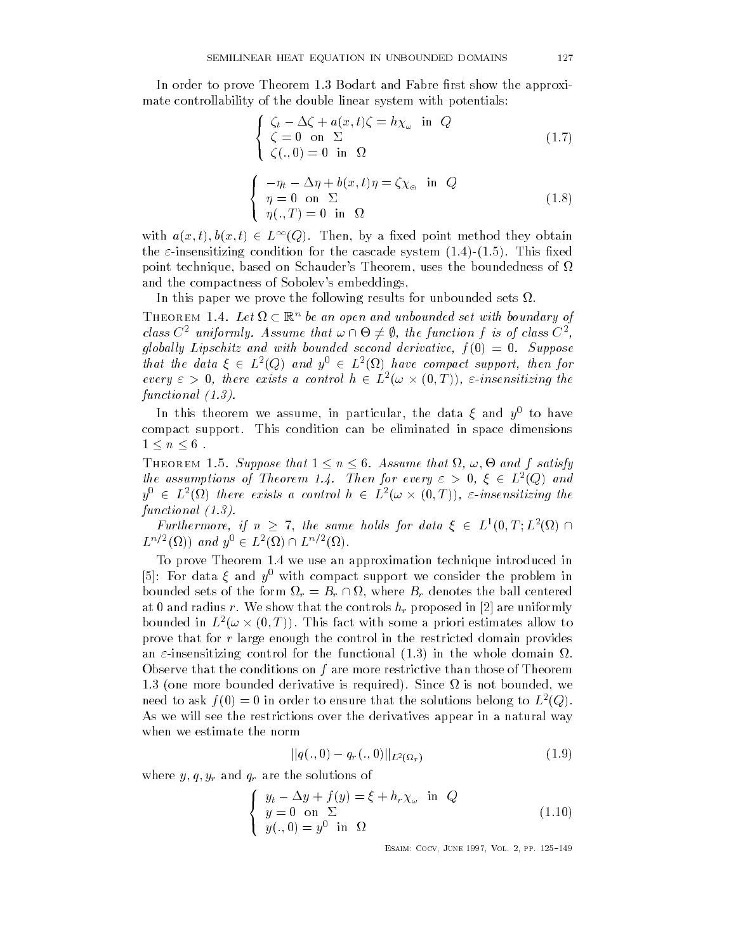In order to prove Theorem 1.3 Bodart and Fabre first show the approximate controllability of the double linear system with potentials

$$
\begin{cases} \zeta_t - \Delta \zeta + a(x, t)\zeta = h\chi_\omega & \text{in } Q\\ \zeta = 0 & \text{on } \Sigma\\ \zeta(., 0) = 0 & \text{in } \Omega \end{cases}
$$
 (1.7)

$$
\begin{cases}\n-\eta_t - \Delta \eta + b(x, t)\eta = \zeta \chi_{\Theta} & \text{in } Q \\
\eta = 0 & \text{on } \Sigma \\
\eta(., T) = 0 & \text{in } \Omega\n\end{cases}
$$
\n(1.8)

with  $a(x, t), b(x, t) \in L^{\infty}(Q)$ . Then, by a fixed point method they obtain the  $\varepsilon$ -insensitizing condition for the cascade system  $(1.4)-(1.5)$ . This fixed point technique based on Schauder s Theorem uses the boundedness of and the compactness of Sobolev's embeddings.

In this paper we prove the following results for unbounded sets -

 $\big\{$ 

THEOREM 1.4. Let  $\Omega \subset \mathbb{R}^n$  be an open and unbounded set with boundary of class  $C^2$  uniformly. Assume that  $\omega \cap \Theta \neq \emptyset$ , the function f is of class  $C^2$ . globally Lipschitz and with bounded second derivative,  $f(0) = 0$ . Suppose that the data  $\xi \in L^2(Q)$  and  $y^0 \in L^2(\Omega)$  have compact support, then for every  $\varepsilon > 0$ , there exists a control  $h \in L^2(\omega \times (0,T))$ ,  $\varepsilon$ -insensitizing the functionally defined as a set of  $\mathcal{L}$ 

In this theorem we assume, in particular, the data  $\zeta$  and  $y$  -to have compact support. This condition can be eliminated in space dimensions  $1\leq n\leq 6$ .

THEOREM 1.5. Suppose that  $1 \leq n \leq 6$ . Assume that  $\Omega$ ,  $\omega$ ,  $\Theta$  and f satisfy the assumptions of Theorem 1.4. Then for every  $\varepsilon > 0$ ,  $\xi \in L^2(Q)$  and  $y^0 \in L^2(\Omega)$  there exists a control  $h \in L^2(\omega \times (0,T))$ ,  $\varepsilon$ -insensitizing the functional

Furthermore, if  $n > 7$ , the same holds for data  $\xi \in L^1(0,T;L^2(\Omega))$  $L^{n/2}(\Omega)$  and  $y^0 \in L^2(\Omega) \cap L^{n/2}(\Omega)$ .

To prove Theorem 1.4 we use an approximation technique introduced in  $|\partial|$ . For data  $\zeta$  and  $\eta$  -with compact support we consider the problem in bounded sets of the form  $\Omega_r = B_r \cap \Omega$ , where  $B_r$  denotes the ball centered at 0 and radius r. We show that the controls  $h_r$  proposed in [2] are uniformly bounded in  $L^2(\omega \times (0,T))$ . This fact with some a priori estimates allow to prove that for r large enough the control in the restricted domain provides an insensitizing control for the functional in the whole domain - Observe that the conditions on f are more restrictive than those of Theorem one more bounded derivative is required Since - is not bounded we heed to ask  $\gamma(0) = 0$  in order to ensure that the solutions belong to  $L^-(Q)$ . As we will see the restrictions over the derivatives appear in a natural way when we estimate the norm

$$
||q(.,0) - q_r(.,0)||_{L^2(\Omega_r)}
$$
\n(1.9)

where  $y, q, y_r$  and  $q_r$  are the solutions of

$$
\begin{cases}\n y_t - \Delta y + f(y) = \xi + h_r \chi_\omega \text{ in } Q \\
 y = 0 \text{ on } \Sigma \\
 y(.,0) = y^0 \text{ in } \Omega\n\end{cases}
$$
\n(1.10)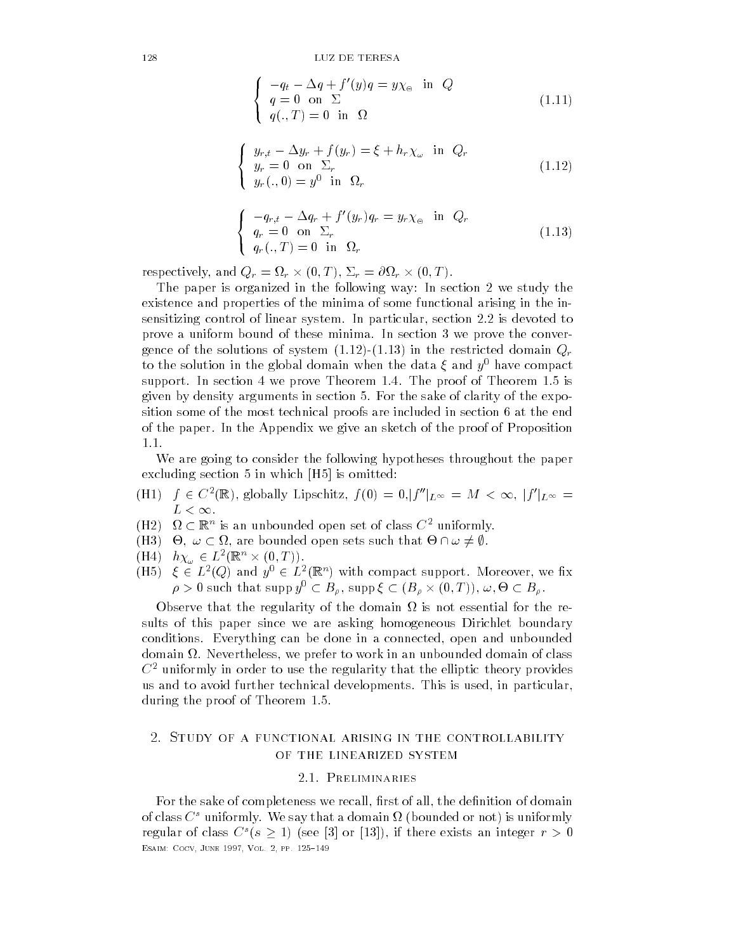$$
\begin{cases}\n-q_t - \Delta q + f'(y)q = y\chi_{\Theta} & \text{in } Q \\
q = 0 \text{ on } \Sigma \\
q(.,T) = 0 \text{ in } \Omega\n\end{cases}
$$
\n(1.11)

$$
\begin{cases}\n y_{r,t} - \Delta y_r + f(y_r) = \xi + h_r \chi_\omega & \text{in } Q_r \\
 y_r = 0 & \text{on } \Sigma_r \\
 y_r(.,0) = y^0 & \text{in } \Omega_r\n\end{cases}
$$
\n(1.12)

$$
\begin{cases}\n-q_{r,t} - \Delta q_r + f'(y_r) q_r = y_r \chi_{\Theta} & \text{in } Q_r \\
q_r = 0 & \text{on } \Sigma_r \\
q_r(.,T) = 0 & \text{in } \Omega_r\n\end{cases}
$$
\n(1.13)

respectively, and  $Q_r = \Omega_r \times (0,T)$ ,  $\Sigma_r = \partial \Omega_r \times (0,T)$ .

 $\big\{$ 

 $\big\{$ 

 $\big\{$ 

The paper is organized in the following way: In section 2 we study the existence and properties of the minima of some functional arising in the in sensitizing control of linear system In particular section is devoted to prove a uniform bound of these minima. In section 3 we prove the convergence of the solutions of system  $(1.12)$ - $(1.13)$  in the restricted domain  $Q_r$ to the solution in the global domain when the data  $\zeta$  and  $y$  -have compact  $$ support. In section 4 we prove Theorem 1.4. The proof of Theorem  $1.5$  is given by density arguments in section 5. For the sake of clarity of the exposition some of the most technical proofs are included in section 6 at the end of the paper In the Appendix we give an sketch of the proof of Proposition 1.1.

We are going to consider the following hypotheses throughout the paper excluding section  $5$  in which  $[H5]$  is omitted:

- (H1)  $f \in C^2(\mathbb{R})$ , globally Lipschitz,  $f(0) = 0$ ,  $|f''|_{L^{\infty}} = M < \infty$ ,  $|f'|_{L^{\infty}} =$  $L < \infty$ .
- (H2)  $\Omega \subset \mathbb{R}^n$  is an unbounded open set of class  $C^2$  uniformly.
- (H3)  $\Theta$ ,  $\omega \subset \Omega$ , are bounded open sets such that  $\Theta \cap \omega \neq \emptyset$ .
- $(H4)$   $h\chi_{\omega} \in L^2(\mathbb{R}^n \times (0,T)).$
- (H5)  $\xi \in L^2(Q)$  and  $y^0 \in L^2(\mathbb{R}^n)$  with compact support. Moreover, we fix  $\rho > 0$  such that supp  $y^0 \subset B_\rho$  , supp  $\xi \subset (B_\rho \times (0,T)), \omega, \Theta \subset B_\rho$  .

Observe that the regularity of the domain - is not essential for the re sults of this paper since we are asking homogeneous Dirichlet boundary conditions Everything can be done in a connected open and unbounded addition is the complete to work in an unbounded domain of class in the complete to work and an unbounded of c  $C<sup>2</sup>$  uniformly in order to use the regularity that the elliptic theory provides us and to avoid further technical developments This is used in particular during the proof of Theorem 1.5.

# of the linearized system

### 2.1. PRELIMINARIES

For the sake of completeness we recall rst of all the denition of domain of class  $\bf C$  - uniformly. We say that a domain  $u$  (bounded or not) is uniformly regular of class  $C^s(s \geq 1)$  (see [3] or [13]), if there exists an integer  $r > 0$ Esaim- Cocv June Vol pp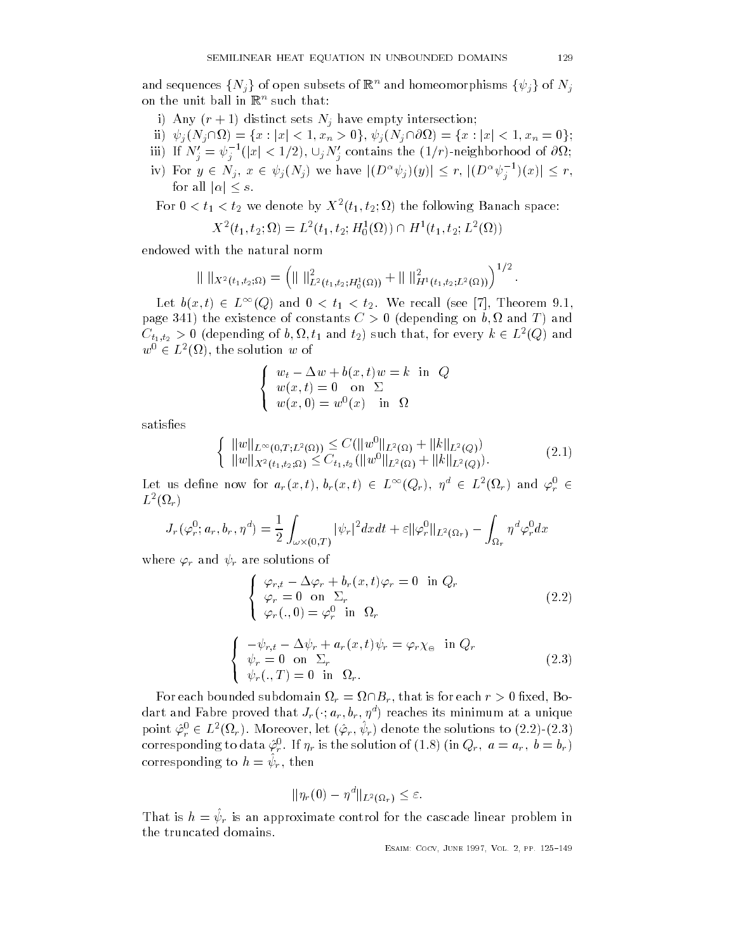and sequences  $\{N_j\}$  of open subsets of  $\mathbb{R}^n$  and homeomorphisms  $\{\psi_j\}$  of  $N_j$ on the unit ban in its such that:

- 
- $\text{inj} \ \ \psi_i(N_i \cap \Omega) = \{x : |x| < 1, x_n > 0\}, \psi_i(N_i \cap \partial \Omega) = \{x : |x| < 1, x_n = 0\};$
- iii) If  $N_j'=\psi_j^{-1}(|x|< 1/2),$   $\cup_j N_j'$  contains the  $(1/r)$ -neighborhood of  $\partial\Omega;$
- ii)  $\psi_j(N_j \cap \Omega) = \{x : |x| < 1, x_n > 0\}, \psi_j(N_j \cap \Omega) = \{x : |x| < 1, x_n \}$ <br>
iii) If  $N_j' = \psi_j^{-1}(|x| < 1/2), \cup_j N_j'$  contains the  $(1/r)$ -neighborhood<br>
iv) For  $y \in N_j$ ,  $x \in \psi_j(N_j)$  we have  $|(D^{\alpha}\psi_j)(y)| \leq r$ ,  $|(D^{\alpha}\psi_j^{-1})(x)|$  $\{ \begin{array}{l} < 1, x_n = 0 \}; \ \text{hood of } \partial \Omega; \ \frac{-1}{i}(x) \leq r, \end{array}$ If  $N_j = \psi_j^{-1}(|x| <$ <br>For  $y \in N_j$ ,  $x \in$ <br>for all  $|\alpha| < s$ .

For  $0 \leq t_1 \leq t_2$  we denote by  $A^-(t_1, t_2; \Omega)$  the following Banach space:

$$
X^{2}(t_{1}, t_{2}; \Omega) = L^{2}(t_{1}, t_{2}; H_{0}^{1}(\Omega)) \cap H^{1}(t_{1}, t_{2}; L^{2}(\Omega))
$$

 $\big\{$ 

with the natural norm  
\n
$$
\| \|_{X^2(t_1,t_2;\Omega)} = \left( \| \|_{L^2(t_1,t_2;H_0^1(\Omega))}^2 + \| \|_{H^1(t_1,t_2;L^2(\Omega))}^2 \right)^{1/2}.
$$

Let  $b(x,t) \in L^{\infty}(Q)$  and  $0 < t_1 < t_2$ . We recall (see [7], Theorem 9.1, page the existence of constants C depending on b - and T and  $C_{t_1,t_2}>0$  (depending of  $b,\Omega,t_1$  and  $t_2)$  such that, for every  $k\in L^2(Q)$  and  $w^0 \in L^2(\Omega)$ , the solution w of

$$
\begin{cases}\nw_t - \Delta w + b(x, t)w = k \text{ in } Q \\
w(x, t) = 0 \text{ on } \Sigma \\
w(x, 0) = w^0(x) \text{ in } \Omega\n\end{cases}
$$

satisfies

$$
\left\{ \begin{array}{l} \|w\|_{L^{\infty}(0,T;L^{2}(\Omega))} \leq C(\|w^{0}\|_{L^{2}(\Omega)} + \|k\|_{L^{2}(Q)}) \\ \|w\|_{X^{2}(t_{1},t_{2};\Omega)} \leq C_{t_{1},t_{2}}(\|w^{0}\|_{L^{2}(\Omega)} + \|k\|_{L^{2}(Q)}). \end{array} \right. \tag{2.1}
$$

Let us define now for  $a_r(x,t),$   $b_r(x,t)$   $\in$   $L^{\infty}(Q_r),$   $\eta^d$   $\in$   $L^2(\Omega_r)$  and  $\varphi_r^0$   $\in$  $L \left( \Delta L_r \right)$ 

$$
J_r(\varphi_r^0; a_r, b_r, \eta^d) = \frac{1}{2} \int_{\omega \times (0,T)} |\psi_r|^2 dx dt + \varepsilon ||\varphi_r^0||_{L^2(\Omega_r)} - \int_{\Omega_r} \eta^d \varphi_r^0 dx
$$

where  $\varphi_r$  and  $\psi_r$  are solutions of

$$
\begin{cases}\n\varphi_{r,t} - \Delta \varphi_r + b_r(x,t)\varphi_r = 0 \text{ in } Q_r \\
\varphi_r = 0 \text{ on } \Sigma_r \\
\varphi_r(.,0) = \varphi_r^0 \text{ in } \Omega_r\n\end{cases}
$$
\n
$$
\begin{cases}\n-\psi_{r,t} - \Delta \psi_r + a_r(x,t)\psi_r = \varphi_r \chi_\circ \text{ in } Q_r \\
\psi_r = 0 \text{ on } \Sigma_r \\
\psi_r(.,T) = 0 \text{ in } \Omega_r.\n\end{cases}
$$
\n(2.3)

For each bounded subdomain  $\Omega_r = \Omega \cap B_r,$  that is for each  $r > 0$  fixed, Bodart and Fabre proved that  $J_r(\cdot; a_r, b_r, \eta^d)$  reaches its minimum at a unique point  $\hat{\varphi}_r^0 \in L^2(\Omega_r)$ . Moreover, let  $(\hat{\varphi}_r, \psi_r)$  denote the solutions to  $(2.2)$ - $(2.3)$ corresponding to data  $\varphi_r$ . If  $\eta_r$  is the solution of  $(1.8)$  (in  $Q_r, \ u = a_r, \ v = b_r$ ) corresponding to  $n = \varphi_r$ , then

$$
\|\eta_r(0)-\eta^d\|_{L^2(\Omega_r)}\leq\varepsilon.
$$

That is  $n = \psi_r$  is an approximate control for the cascade intear problem in the truncated domains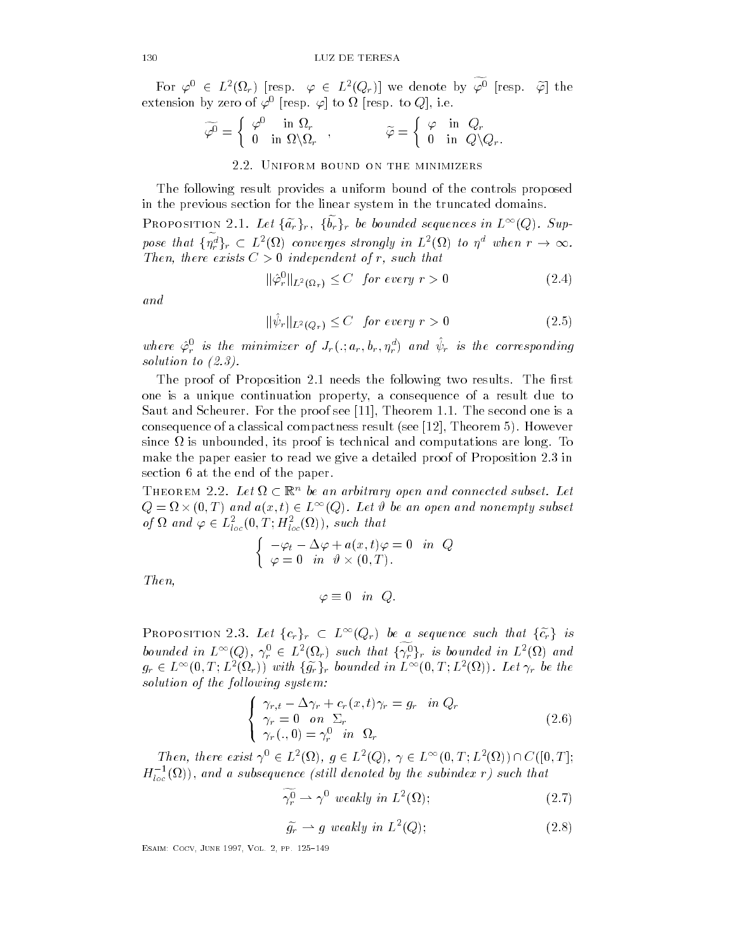For  $\varphi^0 \in L^2(\Omega_r)$  [resp.  $\varphi \in L^2(Q_r)$ ] we denote by  $\widetilde{\varphi^0}$  [resp.  $\widetilde{\varphi}$ ] the extension by zero of  $\varphi$  -fresp.  $\varphi$  from the resp. to  $\varphi$  fie.

$$
\widetilde{\varphi^0} = \begin{cases} \varphi^0 & \text{in } \Omega_r \\ 0 & \text{in } \Omega \backslash \Omega_r \end{cases}, \qquad \widetilde{\varphi} = \begin{cases} \varphi & \text{in } Q_r \\ 0 & \text{in } Q \backslash Q_r. \end{cases}
$$

## 2.2. UNIFORM BOUND ON THE MINIMIZERS

The following result provides a uniform bound of the controls proposed in the previous section for the linear system in the truncated domains

PROPOSITION 2.1. Let  $\{\tilde{a_r}\}_r$ ,  $\{\tilde{b_r}\}_r$  be bounded sequences in  $L^{\infty}(Q)$ . Suppose that  $\{\tilde{\eta}_r^d\}_r \subset L^2(\Omega)$  converges strongly in  $L^2(\Omega)$  to  $\eta^d$  when  $r \to \infty$ . ences in  $L^{\infty}(Q)$ . Sup-<br>
(b) to  $n^d$  when  $r \to \infty$ . Then, there exists  $C > 0$  independent of r, such that

$$
\|\hat{\varphi}_r^0\|_{L^2(\Omega_r)} \le C \quad \text{for every } r > 0 \tag{2.4}
$$

and

 $\|\psi_r\|_{L^2(Q_r)} \leq C$  for every  $r > 0$  (2.5)

where  $\varphi_r$  is the minimizer of  $J_r(., a_r, o_r, \eta_r)$  and  $\psi_r$  is the corresponding solution and the contract of the contract of the contract of the contract of the contract of the contract of the contract of the contract of the contract of the contract of the contract of the contract of the contract of t

The proof of Proposition 2.1 needs the following two results. The first one is a unique continuation property a consequence of a result due to Saut and Scheurer For the proof see Theorem The second one is a consequence of a classical compactness result see Theorem However since - is unbounded its proof is technical and computations are long To make the paper easier to read we give a detailed proof of Proposition 2.3 in section 6 at the end of the paper.

THEOREM 2.2. Let  $\Omega \subset \mathbb{R}^n$  be an arbitrary open and connected subset. Let  $Q = \Omega \times (0,T)$  and  $a(x,t) \in L^{\infty}(Q)$ . Let  $\vartheta$  be an open and nonempty subset of  $\Omega$  and  $\varphi \in L^2_{loc}(0,T;H^2_{loc}(\Omega))$ , such that

$$
\begin{cases}\n-\varphi_t - \Delta \varphi + a(x, t)\varphi = 0 & \text{in } Q \\
\varphi = 0 & \text{in } \vartheta \times (0, T).\n\end{cases}
$$

Then 

 $\varphi \equiv 0$  in Q.

**PROPOSITION** 2.3. Let  $\{c_r\}_r \subset L^{\infty}(Q_r)$  be a sequence such that  $\{\tilde{c}_r\}$  is bounded in  $L^{\infty}(Q)$ ,  $\gamma_r^0 \in L^2(\Omega_r)$  such that  $\{\widetilde{\gamma_r^0}\}_r$  is bounded in  $L^2(\Omega)$  and  $g_r \in L^{\infty}(0,T; L^2(\Omega_r))$  with  $\{\widetilde{g_r}\}_r$  bounded in  $L^{\infty}(0,T; L^2(\Omega))$ . Let  $\gamma_r$  be the solution of the following system:

$$
\begin{cases}\n\gamma_{r,t} - \Delta \gamma_r + c_r(x,t)\gamma_r = g_r & \text{in } Q_r \\
\gamma_r = 0 & \text{on } \Sigma_r \\
\gamma_r(.0) = \gamma_r^0 & \text{in } \Omega_r\n\end{cases}
$$
\n(2.6)

Then, there exist  $\gamma^0 \in L^2(\Omega)$ ,  $q \in L^2(Q)$ ,  $\gamma \in L^{\infty}(0,T; L^2(\Omega)) \cap C([0,T];$  $H_{loc}^{-}(\Omega))\text{, and a subsequence (still denoted by the substack r) such that }$ 

> $\widetilde{\gamma_r^0} \rightharpoonup \gamma^0$  weakly in  $L^2(\Omega)$ - $(2.7)$

$$
\tilde{g}_r \rightharpoonup g \ weakly \ in \ L^2(Q); \tag{2.8}
$$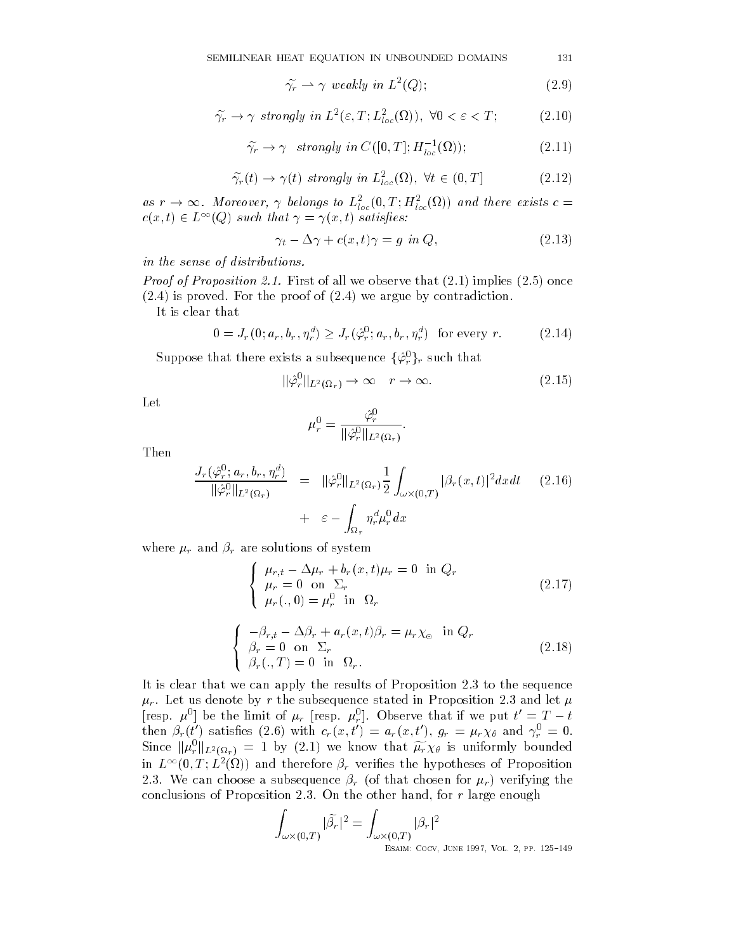$$
\widetilde{\gamma_r} \rightharpoonup \gamma \ weakly \ in \ L^2(Q); \tag{2.9}
$$

$$
\widetilde{\gamma_r} \to \gamma \ \text{ strongly in } L^2(\varepsilon, T; L^2_{loc}(\Omega)), \ \forall 0 < \varepsilon < T; \tag{2.10}
$$

$$
\widetilde{\gamma_r} \to \gamma \ \ strongly \ in \ C([0, T]; H^{-1}_{loc}(\Omega)); \tag{2.11}
$$

$$
\widetilde{\gamma}_r(t) \to \gamma(t) \text{ strongly in } L^2_{loc}(\Omega), \ \forall t \in (0, T] \tag{2.12}
$$
\nas  $r \to \infty$ . Moreover,  $\gamma$  belongs to  $L^2_{loc}(0, T; H^2_{loc}(\Omega))$  and there exists  $c =$ 

 $c(x,t) \in L^{\infty}(Q)$  such that  $\gamma = \gamma(x,t)$  satisfies:

$$
\gamma_t - \Delta \gamma + c(x, t)\gamma = g \text{ in } Q,\tag{2.13}
$$

in the sense of distributions

*Proof of Proposition 2.1.* First of all we observe that  $(2.1)$  implies  $(2.5)$  once  $(2.4)$  is proved. For the proof of  $(2.4)$  we argue by contradiction.

It is clear that

$$
0 = J_r(0; a_r, b_r, \eta_r^d) \ge J_r(\hat{\varphi}_r^0; a_r, b_r, \eta_r^d) \quad \text{for every } r. \tag{2.14}
$$

Suppose that there exists a subsequence  $\{\hat{\varphi}_r^0\}_r$  such that<br> $\|\hat{\varphi}_r^0\|_{L^2(\Omega_r)} \to \infty \quad r \to \infty.$ 

$$
\|\hat{\varphi}_r^0\|_{L^2(\Omega_r)} \to \infty \quad r \to \infty. \tag{2.15}
$$

Let

$$
\mu_r^0 = \frac{\hat{\varphi}_r^0}{\|\hat{\varphi}_r^0\|_{L^2(\Omega_r)}}.
$$

Then

$$
\frac{J_r(\hat{\varphi}_r^0; a_r, b_r, \eta_r^d)}{\|\hat{\varphi}_r^0\|_{L^2(\Omega_r)}} = \|\hat{\varphi}_r^0\|_{L^2(\Omega_r)} \frac{1}{2} \int_{\omega \times (0,T)} |\beta_r(x,t)|^2 dx dt \qquad (2.16)
$$
  
+  $\varepsilon - \int_{\Omega_r} \eta_r^d \mu_r^0 dx$ 

where  $\mu_r$  and  $\beta_r$  are solutions of system

$$
\begin{cases}\n\mu_{r,t} - \Delta \mu_r + b_r(x,t)\mu_r = 0 \text{ in } Q_r \\
\mu_r = 0 \text{ on } \Sigma_r \\
\mu_r(.,0) = \mu_r^0 \text{ in } \Omega_r\n\end{cases}
$$
\n(2.17)

$$
\begin{cases}\n-\beta_{r,t} - \Delta \beta_r + a_r(x,t)\beta_r = \mu_r \chi_{\Theta} & \text{in } Q_r \\
\beta_r = 0 & \text{on } \Sigma_r \\
\beta_r(.,T) = 0 & \text{in } \Omega_r.\n\end{cases}
$$
\n(2.18)

It is clear that we can apply the results of Proposition  $2.3$  to the sequence  $\mu_r$ . Let us denote by r the subsequence stated in Proposition 2.3 and let  $\mu$ [resp.  $\mu^0$ ] be the limit of  $\mu_r$  [resp.  $\mu_r^0$ ]. Observe that if we put  $t' = T - t$ r observe that if we put the put that if we put the contract of the contract of the contract of the contract of then  $\rho_r(t)$  satisfies (2.0) with  $c_r(x,t) = a_r(x,t)$ ,  $g_r = \mu_r \chi_\theta$  and  $\gamma_r = 0$ . Since  $\|\mu_r^0\|_{L^2(\Omega_r)} = 1$  by (2.1) we know that  $\widetilde{\mu_r} \chi_\theta$  is uniformly bounded in  $L^{++}(0,1;L^-(\Omega))$  and therefore  $\rho_r$  verifies the hypotheses of Proposition 2.3. We can choose a subsequence  $\beta_r$  (of that chosen for  $\mu_r$ ) verifying the conclusions of Propositions and the other hand  $\alpha$  and  $\alpha$  and  $\alpha$ 

$$
\int_{\omega \times (0,T)} |\widetilde{\beta}_r|^2 = \int_{\omega \times (0,T)} |\beta_r|^2
$$
  
ESAIN: COCV, JUNE 1997, Vol. 2, PP. 125-149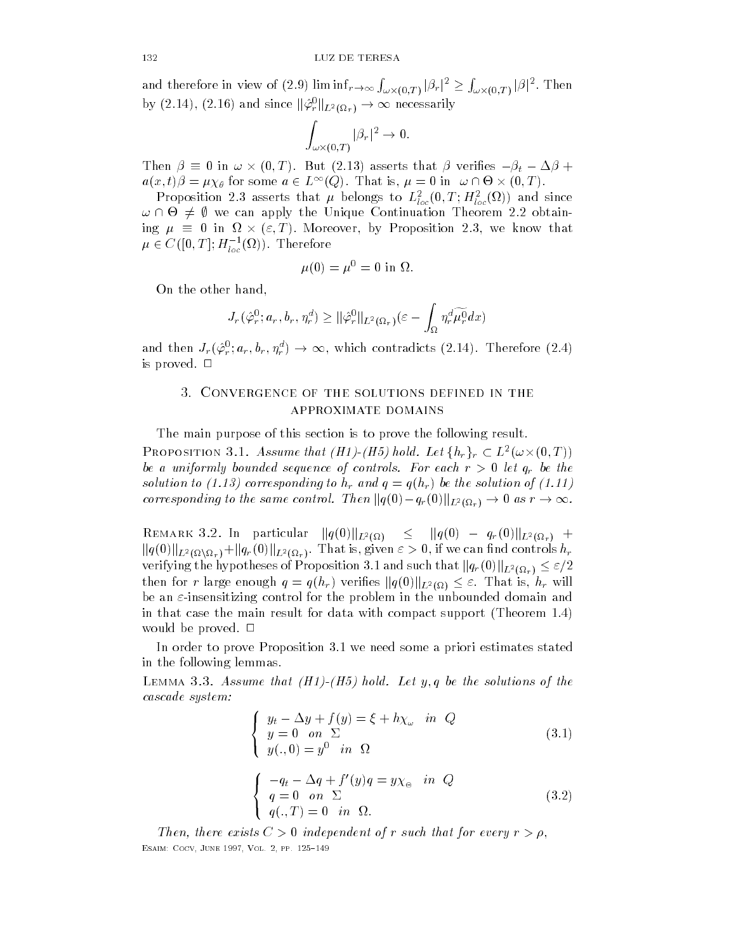and therefore in view of (2.9)  $\liminf_{r\to\infty}\int_{\omega\times(0,T)}|\beta_r|^2\geq\int_{\omega\times(0,T)}|\beta|^2.$  Then  $\cdots$  .  $\cdots$  .  $\cdots$ and therefore in view of (2.9)  $\liminf_{r\to\infty} \int_{\omega\times(0,T)} |\beta_r|^2 \geq \int_{\omega}$ <br>by (2.14), (2.16) and since  $\|\hat{\varphi}_r^0\|_{L^2(\Omega_r)} \to \infty$  necessarily

$$
\int_{\omega \times (0,T)} |\beta_r|^2 \to 0.
$$

Then  $\beta \equiv 0$  in  $\omega \times (0,T)$ . But (2.13) asserts that  $\beta$  verifies  $-\beta_t - \Delta \beta +$  $a(x,t)\beta = \mu\chi_{\theta}$  for some  $a \in L^{\infty}(Q)$ . That is,  $\mu = 0$  in  $\omega \cap \Theta \times (0,T)$ .

r roposition 2.5 asserts that  $\mu$  belongs to  $L_{loc}(0, I; H_{loc}(M))$  and since  $\omega \cap \Theta \neq \emptyset$  we can apply the Unique Continuation Theorem 2.2 obtaining  $\mu \equiv 0$  in  $\Omega \times (\varepsilon, T)$ . Moreover, by Proposition 2.3, we know that  $\mu\in C([0,T];H^{-1}_{loc}(\Omega))$ . Therefore

$$
\mu(0) = \mu^0 = 0
$$
in  $\Omega$ 

On the other hand

On the other hand,  
\n
$$
J_r(\hat{\varphi}_r^0; a_r, b_r, \eta_r^d) \geq \|\hat{\varphi}_r^0\|_{L^2(\Omega_r)} (\varepsilon - \int_{\Omega} \eta_r^d \widetilde{\mu_r^0} dx)
$$
\nand then  $J_r(\hat{\varphi}_r^0; a_r, b_r, \eta_r^d) \to \infty$ , which contradicts (2.14). Therefore (2.4)

is proved.  $\Box$ 

# approximate domains

The main purpose of this section is to prove the following result **PROPOSITION 3.1.** Assume that (H1)-(H5) hold. Let  $\{h_r\}_r \subset L^2(\omega \times (0,T))$ be a uniformly bounded sequence of controls. For each  $r > 0$  let  $q_r$  be the solution to have the solution of the solution of the solution of the solution of the solution of the solution o corresponding to the same control. Then  $||q(0)-q_r(0)||_{L^2(\Omega_r)} \to 0$  as  $r \to \infty$ .  $r > 0$  let  $q_r$  be the<br>he solution of  $(1.11)$ <br> $(\Omega_r) \rightarrow 0$  as  $r \rightarrow \infty$ .

REMARK 3.2. In particular  $||q(0)||_{L^2(\Omega)} \leq ||q(0) - q_r(0)||_{L^2(\Omega_r)} +$  $\|q(0)\|_{L^2(\Omega\setminus\Omega_r)} + \|q_r(0)\|_{L^2(\Omega_r)}.$  That is, given  $\varepsilon>0,$  if we can find controls  $h_r$ verifying the hypotheses of Proposition 3.1 and such that  $\|q_r(0)\|_{L^2(\Omega_r)}\leq \varepsilon/2$ then for r large enough  $q = q(h_r)$  verifies  $||q(0)||_{L^2(\Omega)} \leq \varepsilon$ . That is,  $h_r$  will be an  $\varepsilon$ -insensitizing control for the problem in the unbounded domain and in that case the main result for data with compact support  $($ Theorem 1.4 $)$ would be proved.  $\Box$ 

In order to prove Proposition 3.1 we need some a priori estimates stated in the following lemmas

LEMMA  $\sigma$ . Assume that  $\mu_1$ - $\mu_2$  hold. Let  $q$ ,  $q$  be the solutions of the cascade system:

$$
\begin{cases}\n y_t - \Delta y + f(y) = \xi + h\chi_\omega & \text{in } Q \\
 y = 0 & \text{on } \Sigma \\
 y(.,0) = y^0 & \text{in } \Omega\n\end{cases}
$$
\n(3.1)  
\n
$$
\begin{cases}\n -q_t - \Delta q + f'(y)q = y\chi_\circ & \text{in } Q \\
 q = 0 & \text{on } \Sigma \\
 q(.,T) = 0 & \text{in } \Omega.\n\end{cases}
$$
\n(3.2)

Then, there exists  $C > 0$  independent of r such that for every  $r > \rho$ , Esaim- Cocv June Vol pp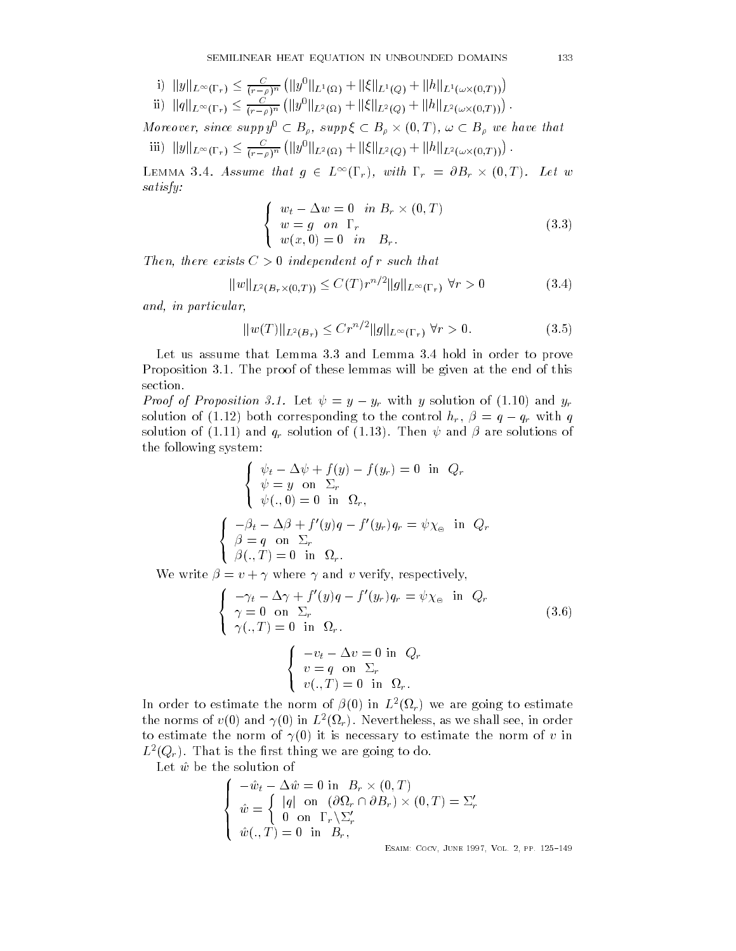i) 
$$
||y||_{L^{\infty}(\Gamma_r)} \leq \frac{C}{(r-\rho)^n} (||y^0||_{L^1(\Omega)} + ||\xi||_{L^1(Q)} + ||h||_{L^1(\omega \times (0,T))})
$$
  
\nii)  $||y||_{L^{\infty}(\Gamma_r)}$ 

ii) 
$$
||q||_{L^{\infty}(\Gamma_r)} \leq \frac{C}{(r-\rho)^n} (||y^0||_{L^2(\Omega)} + ||\xi||_{L^2(Q)} + ||h||_{L^2(\omega \times (0,T))}).
$$

Moreover, since supp  $y^0 \subset B_\rho$ , supp  $\xi \subset B_\rho \times (0,T)$ ,  $\omega \subset B_\rho$  we have that iii)  $||y||_{L^{\infty}(\Gamma_r)} \leq \frac{C}{(r-\rho)^n} (||y^0||_{L^2(\Omega)} + ||\xi||_{L^2(Q)} + ||h||_{L^2(\omega \times (0,T))}).$ 

LEMMA 3.4. Assume that  $g \in L^{\infty}(\Gamma_r)$ , with  $\Gamma_r = \partial B_r \times (0,T)$ . Let w satisfy-

$$
\begin{cases}\nw_t - \Delta w = 0 & \text{in } B_r \times (0, T) \\
w = g & \text{on } \Gamma_r \\
w(x, 0) = 0 & \text{in } B_r.\n\end{cases}
$$
\n(3.3)

Then, there exists  $C > 0$  independent of r such that

 $\big\{$ 

$$
||w||_{L^{2}(B_{r}\times(0,T))} \leq C(T)r^{n/2}||g||_{L^{\infty}(\Gamma_{r})} \forall r > 0
$$
\n(3.4)

and in particular.

$$
||w(T)||_{L^{2}(B_{r})} \leq C r^{n/2} ||g||_{L^{\infty}(\Gamma_{r})} \ \forall r > 0.
$$
 (3.5)

Let us assume that Lemma  $3.3$  and Lemma  $3.4$  hold in order to prove Proposition 3.1. The proof of these lemmas will be given at the end of this section

*Proof of Proposition 3.1.* Let  $\psi = y - y_r$  with y solution of (1.10) and  $y_r$ solution of (1.12) both corresponding to the control  $h_r$ ,  $\beta = q - q_r$  with q solution of (1.11) and  $q_r$  solution of (1.13). Then  $\psi$  and  $\beta$  are solutions of the following system

$$
\begin{cases}\n\psi_t - \Delta \psi + f(y) - f(y_r) = 0 \text{ in } Q_r \\
\psi = y \text{ on } \Sigma_r \\
\psi(., 0) = 0 \text{ in } \Omega_r,\n\end{cases}
$$
\n
$$
\begin{cases}\n-\beta_t - \Delta \beta + f'(y)q - f'(y_r)q_r = \psi \chi_{\Theta} \text{ in } Q_r \\
\beta = q \text{ on } \Sigma_r \\
\beta(., T) = 0 \text{ in } \Omega_r.\n\end{cases}
$$

where  $\mathbf{v}$  is a verified where  $\mathbf{v}$  and verify  $\mathbf{v}$  and verify  $\mathbf{v}$  and verify  $\mathbf{v}$ 

$$
\begin{cases}\n-\gamma_t - \Delta \gamma + f'(y)q - f'(y_r)q_r = \psi \chi_{\Theta} & \text{in } Q_r \\
\gamma = 0 & \text{on } \Sigma_r \\
\gamma(., T) = 0 & \text{in } \Omega_r.\n\end{cases}
$$
\n
$$
\begin{cases}\n-v_t - \Delta v = 0 & \text{in } Q_r \\
v = q & \text{on } \Sigma_r \\
v(., T) = 0 & \text{in } \Omega_r.\n\end{cases}
$$
\n(3.6)

In order to estimate the norm of  $\rho(\theta)$  in  $L$  ( $\Omega_r$ ) we are going to estimate the norms of  $v(0)$  and  $\gamma(0)$  in  $L$  (st<sub>r</sub>). Inevertheless, as we shall see, in order to estimate the norm of  $\gamma(0)$  it is necessary to estimate the norm of v in  $L^-(Q_T)$ . That is the first thing we are going to do.

Let  $\hat{w}$  be the solution of

$$
\begin{cases}\n-\hat{w}_t - \Delta \hat{w} = 0 \text{ in } B_r \times (0, T) \\
\hat{w} = \begin{cases}\n|q| \text{ on } (\partial \Omega_r \cap \partial B_r) \times (0, T) = \Sigma'_r \\
0 \text{ on } \Gamma_r \backslash \Sigma'_r \\
\hat{w}(., T) = 0 \text{ in } B_r,\n\end{cases}\n\end{cases}
$$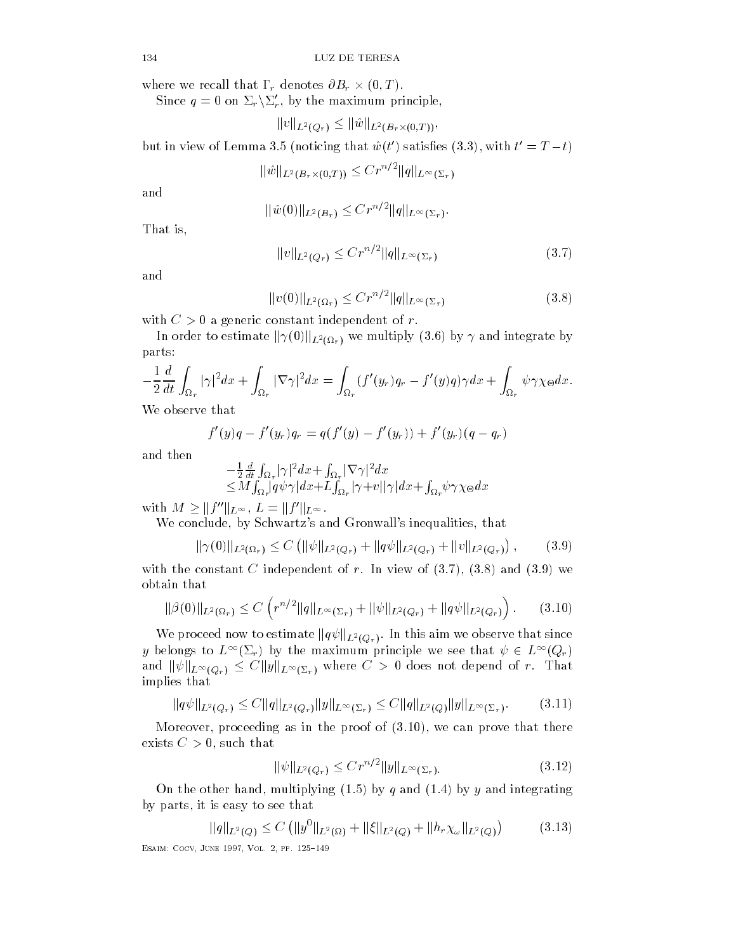where we recall that  $\Gamma_r$  denotes  $\partial B_r \times (0,T)$ .

Since  $q = 0$  on  $\Sigma_r \backslash \Sigma'_r$ , by the maximum principle,

denotes 
$$
OD_r \times (0, 1)
$$
.  
\n', by the maximum principle,  
\n $||v||_{L^2(Q_r)} \le ||\hat{w}||_{L^2(B_r \times (0,T))}$ ,

but in view of Lemma 3.5 (noticing that  $\hat{w}(t')$  satisfies (3.3), with  $t' = T - t$ )

$$
\|\hat{w}\|_{L^2(B_r\times(0,T))}\leq Cr^{n/2}\|q\|_{L^\infty(\Sigma_r)}
$$

and

$$
\|\hat{w}(0)\|_{L^2(B_r)} \leq Cr^{n/2} \|q\|_{L^\infty(\Sigma_r)}.
$$

That is

$$
||v||_{L^{2}(Q_{r})} \leq Cr^{n/2}||q||_{L^{\infty}(\Sigma_{r})}
$$
\n(3.7)

and

$$
||v(0)||_{L^{2}(\Omega_{r})} \leq C r^{n/2} ||q||_{L^{\infty}(\Sigma_{r})}
$$
\n(3.8)

with  $C > 0$  a generic constant independent of r.

In order to estimate  $\|\gamma(0)\|_{L^2(\Omega_r)}$  we multiply  $(3.6)$  by  $\gamma$  and integrate by parts

$$
-\frac{1}{2}\frac{d}{dt}\int_{\Omega_r}|\gamma|^2dx+\int_{\Omega_r}|\nabla \gamma|^2dx=\int_{\Omega_r}(f'(y_r)q_r-f'(y)q)\gamma dx+\int_{\Omega_r}\psi\gamma\chi_{\Theta}dx.
$$

We observe that

$$
f'(y)q - f'(y_r)q_r = q(f'(y) - f'(y_r)) + f'(y_r)(q - q_r)
$$

and then

$$
-\frac{1}{2}\frac{d}{dt}\int_{\Omega_r} |\gamma|^2 dx + \int_{\Omega_r} |\nabla \gamma|^2 dx
$$
  
\n
$$
\leq M \int_{\Omega_r} |q\psi\gamma| dx + L \int_{\Omega_r} |\gamma + v||\gamma| dx + \int_{\Omega_r} \psi \gamma \chi_{\Theta} dx
$$
  
\nwith  $M \geq ||f''||_{L^{\infty}}$ ,  $L = ||f'||_{L^{\infty}}$ .

we conclude the concluded of the concluded state of the concluded state of the concluded state of the concluded state of the concluded state of the concluded state of the concluded state of the concluded state of the concl

$$
\|\gamma(0)\|_{L^2(\Omega_r)} \le C \left( \|\psi\|_{L^2(Q_r)} + \|q\psi\|_{L^2(Q_r)} + \|v\|_{L^2(Q_r)} \right), \qquad (3.9)
$$

with the constant C independent of r In view of  $\{1,2,3,4,5,7\}$  and  $\{2,3,4,7\}$ obtain that

$$
\|\beta(0)\|_{L^2(\Omega_r)} \le C \left( r^{n/2} \|q\|_{L^\infty(\Sigma_r)} + \|\psi\|_{L^2(Q_r)} + \|q\psi\|_{L^2(Q_r)} \right). \tag{3.10}
$$

We proceed now to estimate  $\|q\psi\|_{L^2(Q_r)}.$  In this aim we observe that since y belongs to  $L^{\infty}(\Sigma_r)$  by the maximum principle we see that  $\psi \in L^{\infty}(Q_r)$ and  $\|\psi\|_{L^{\infty}(Q_r)} \leq C \|y\|_{L^{\infty}(\Sigma_r)}$  where  $C > 0$  does not depend of r. That implies that

$$
||q\psi||_{L^{2}(Q_{r})} \leq C||q||_{L^{2}(Q_{r})}||y||_{L^{\infty}(\Sigma_{r})} \leq C||q||_{L^{2}(Q)}||y||_{L^{\infty}(\Sigma_{r})}. \qquad (3.11)
$$

Moreover proceeding as in the proof of we can prove that there exists C such that

$$
\|\psi\|_{L^2(Q_r)} \le Cr^{n/2} \|y\|_{L^\infty(\Sigma_r)}.\tag{3.12}
$$

On the other hand multiplying by q and by y and integrating by parts in the contract of the contract of the contract of the contract of the contract of the contract of the

$$
\|q\|_{L^{2}(Q)} \leq C \left( \|y^{0}\|_{L^{2}(\Omega)} + \|\xi\|_{L^{2}(Q)} + \|h_{r}\chi_{\omega}\|_{L^{2}(Q)} \right) \tag{3.13}
$$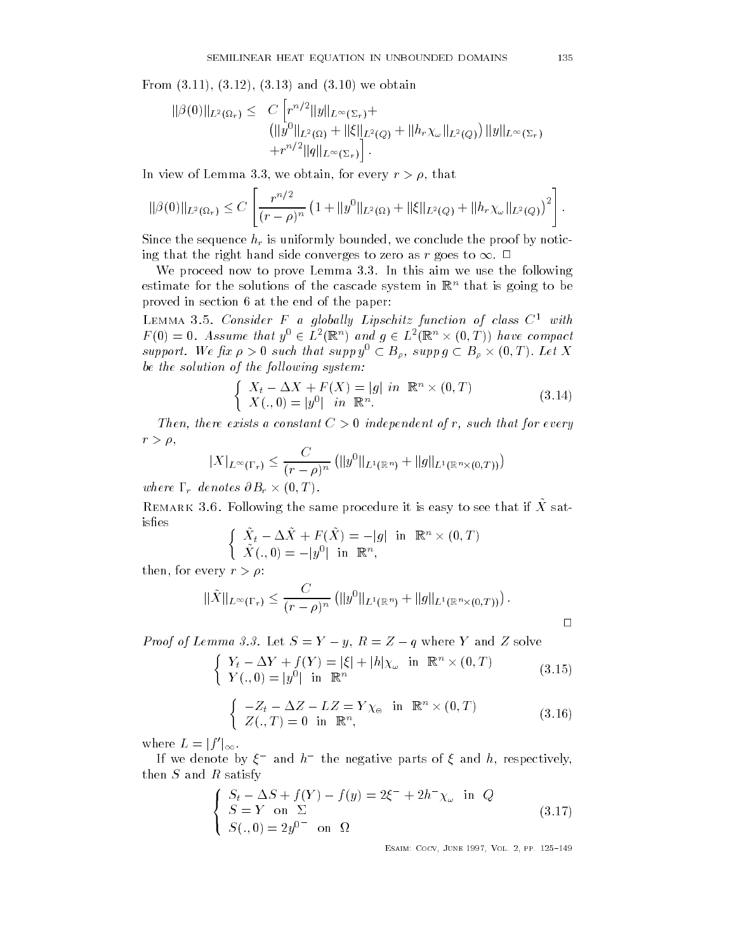$\mathbf{f}$  and  $\mathbf{f}$  and  $\mathbf{f}$  and  $\mathbf{f}$  and  $\mathbf{f}$  and  $\mathbf{f}$  and  $\mathbf{f}$  and  $\mathbf{f}$ 

$$
\|\beta(0)\|_{L^{2}(\Omega_{r})} \leq C \left[ r^{n/2} \|y\|_{L^{\infty}(\Sigma_{r})} + ||\xi||_{L^{2}(Q)} + ||h_{r}\chi_{\omega}||_{L^{2}(Q)} \right] \|y\|_{L^{\infty}(\Sigma_{r})} + r^{n/2} \|q\|_{L^{\infty}(\Sigma_{r})} \Bigg].
$$

In view obtained the contract of Lemma and Lemma  $\mathcal{U}$  and  $\mathcal{U}$  are contract of  $\mathcal{U}$  and  $\mathcal{U}$ 

$$
\|\beta(0)\|_{L^2(\Omega_r)} \leq C \left[ \frac{r^{n/2}}{(r-\rho)^n} \left(1 + \|y^0\|_{L^2(\Omega)} + \|\xi\|_{L^2(Q)} + \|h_r \chi_\omega\|_{L^2(Q)}\right)^2 \right].
$$

Since the sequence hr is uniformly bounded we conclude the proof by notic ing that the right hand side converges to zero as  $r$  goes to  $\infty$ .  $\Box$ 

We proceed now to prove Lemma  $3.3$ . In this aim we use the following estimate for the solutions of the cascade system in Rn that is going to be proved in section 6 at the end of the paper:

 $L$ emma Consider F a qiobally Lipschitz function of class  $C$  with  $F(0) = 0$ . Assume that  $y^0 \in L^2(\mathbb{R}^n)$  and  $q \in L^2(\mathbb{R}^n \times (0,T))$  have compact support. We fix  $\rho > 0$  such that supp  $y^0 \subset B_\rho$ , supp  $g \subset B_\rho \times (0,T)$ . Let X be the solution of the following system:

$$
\begin{cases}\nX_t - \Delta X + F(X) = |g| \text{ in } \mathbb{R}^n \times (0, T) \\
X(., 0) = |y^0| \text{ in } \mathbb{R}^n.\n\end{cases}
$$
\n(3.14)

Then, there exists a constant  $C > 0$  independent of r, such that for every  $r > \rho$ ,

$$
|X|_{L^{\infty}(\Gamma_r)} \leq \frac{C}{(r-\rho)^n} \left( \|y^0\|_{L^1(\mathbb{R}^n)} + \|g\|_{L^1(\mathbb{R}^n \times (0,T))} \right)
$$

where  $\Gamma_r$  denotes  $\partial B_r \times (0,T)$ .

**I** Lemark  $\theta$ ,  $\theta$ , Tollowing the same procedure it is easy to see that if  $\Lambda$  satisfies

$$
\begin{cases} \tilde{X}_t - \Delta \tilde{X} + F(\tilde{X}) = -|g| & \text{in } \mathbb{R}^n \times (0, T) \\ \tilde{X}(., 0) = -|y^0| & \text{in } \mathbb{R}^n, \end{cases}
$$

then the contract of the contract of the contract of the contract of the contract of the contract of the contract of the contract of the contract of the contract of the contract of the contract of the contract of the contr

$$
\|\tilde{X}\|_{L^{\infty}(\Gamma_r)} \leq \frac{C}{(r-\rho)^n} \left( \|y^0\|_{L^1(\mathbb{R}^n)} + \|g\|_{L^1(\mathbb{R}^n \times (0,T))} \right).
$$

*Proof of Lemma 3.3.* Let  $S = Y - y$ ,  $R = Z - q$  where Y and Z solve

$$
\begin{cases} Y_t - \Delta Y + f(Y) = |\xi| + |h|\chi_{\omega} \text{ in } \mathbb{R}^n \times (0, T) \\ Y(., 0) = |y^0| \text{ in } \mathbb{R}^n \end{cases} (3.15)
$$

$$
\begin{cases}\n-Z_t - \Delta Z - LZ = Y \chi_{\circ} \text{ in } \mathbb{R}^n \times (0, T) \\
Z(., T) = 0 \text{ in } \mathbb{R}^n,\n\end{cases}
$$
\n(3.16)

where  $L = |f'|_{\infty}$ .

 $\big\{$ 

If we denote by  $\xi$  and  $h$  and hegative parts of  $\xi$  and  $h$ , respectively, then  $S$  and  $R$  satisfy

$$
\begin{cases}\nS_t - \Delta S + f(Y) - f(y) = 2\xi^{-} + 2h^{-} \chi_{\omega} \text{ in } Q \\
S = Y \text{ on } \Sigma \\
S(.,0) = 2y^{0^{-}} \text{ on } \Omega\n\end{cases}
$$
\n(3.17)

Esaim- Cocv June Vol pp 

 $\Box$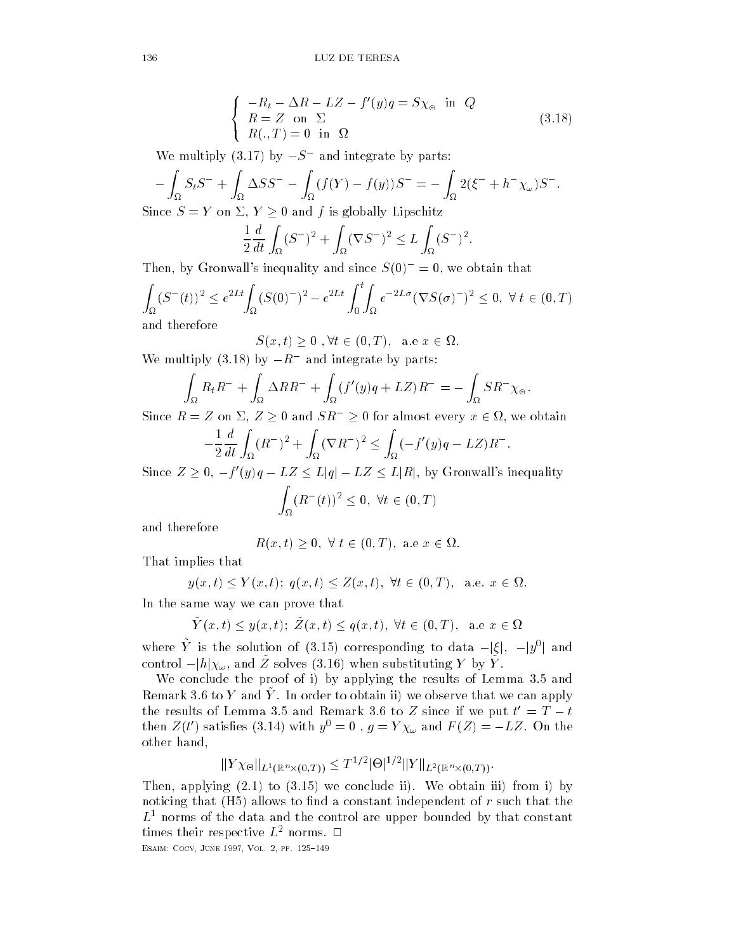$$
\begin{cases}\n-R_t - \Delta R - LZ - f'(y)q = S\chi_{\circ} & \text{in } Q \\
R = Z & \text{on } \Sigma \\
R(.,T) = 0 & \text{in } \Omega\n\end{cases}
$$
\n(3.18)

We multiply (3.17) by  $-S^-$  and integrate by parts:

 $\big\{$ 

$$
-\int_{\Omega} S_t S^- + \int_{\Omega} \Delta S S^- - \int_{\Omega} (f(Y) - f(y)) S^- = -\int_{\Omega} 2(\xi^- + h^- \chi_{\omega}) S^-.
$$
  
Since  $S = Y$  on  $\Sigma$ ,  $Y \ge 0$  and  $f$  is globally Lipschitz

$$
\frac{1}{2}\frac{d}{dt}\int_{\Omega}(S^-)^2 + \int_{\Omega}(\nabla S^-)^2 \le L\int_{\Omega}(S^-)^2.
$$

I nen, by Gronwall s inequality and since  $S(0) = 0$ , we obtain that

$$
\int_{\Omega} (S^-(t))^2 \le e^{2Lt} \int_{\Omega} (S(0)^-)^2 - e^{2Lt} \int_0^t \int_{\Omega} e^{-2L\sigma} (\nabla S(\sigma)^-)^2 \le 0, \ \forall \ t \in (0, T)
$$
  
and therefore

 $S(x,t) \geq 0$ ,  $\forall t \in (0,T)$ , a.e  $x \in \Omega$ . We multiply (3.18) by  $-R^-$  and integrate by parts:

$$
\int_{\Omega} R_t R^- + \int_{\Omega} \Delta R R^- + \int_{\Omega} (f'(y)q + LZ) R^- = - \int_{\Omega} S R^- \chi_{\Theta}.
$$

Since  $R = Z$  on  $\Sigma$ ,  $Z \ge 0$  and  $SR^- \ge 0$  for almost every  $x \in \Omega$ , we obtain

$$
-\frac{1}{2}\frac{d}{dt}\int_{\Omega}(R^{-})^{2} + \int_{\Omega}(\nabla R^{-})^{2} \le \int_{\Omega}(-f'(y)q - LZ)R^{-}.
$$
  
Since  $Z > 0$ ,  $-f'(y)q - LZ \le L|q| - LZ \le L|R|$ , by Gronwall's inequality

 $\int_\Omega (R$  $(R^-(t))^2 \leq 0, \ \forall t \in (0,T)$ 

and therefore

$$
R(x,t) \ge 0, \ \forall \ t \in (0,T), \ \text{a.e} \ x \in \Omega.
$$

That implies that

$$
y(x,t) \le Y(x,t); q(x,t) \le Z(x,t), \forall t \in (0,T), \text{ a.e. } x \in \Omega.
$$

In the same way we can prove that

$$
\tilde{Y}(x,t) \le y(x,t); \ \tilde{Z}(x,t) \le q(x,t), \ \forall t \in (0,T), \ \text{a.e } x \in \Omega
$$

where Y is the solution of (3.15) corresponding to data  $-|\xi|$ ,  $-|y^0|$  a control  $-|h|\chi_{\omega}$ , and Z solves (3.16) when substituting Y by Y.

We conclude the proof of i) by applying the results of Lemma 3.5 and Remark 3.6 to Y and  $\tilde{Y}$ . In order to obtain ii) we observe that we can apply the results of Lemma 3.5 and Remark 3.6 to  $Z$  since if we put  $t'=T-t$ then  $Z(t')$  satisfies (3.14) with  $y^0=0$  ,  $g=Y\chi_\omega$  and  $F(Z)=-LZ$ . On the other hand

$$
||Y \chi_{\Theta}||_{L^{1}(\mathbb{R}^{n} \times (0,T))} \leq T^{1/2} |\Theta|^{1/2} ||Y||_{L^{2}(\mathbb{R}^{n} \times (0,T))}.
$$

Then applying to we conclude ii We obtain iii from i by noticing that  $(H5)$  allows to find a constant independent of r such that the  $L<sup>1</sup>$  norms of the data and the control are upper bounded by that constant times their respective  $L^2$  norms.  $\Box$ 

Esaim- Cocv June Vol pp 

Si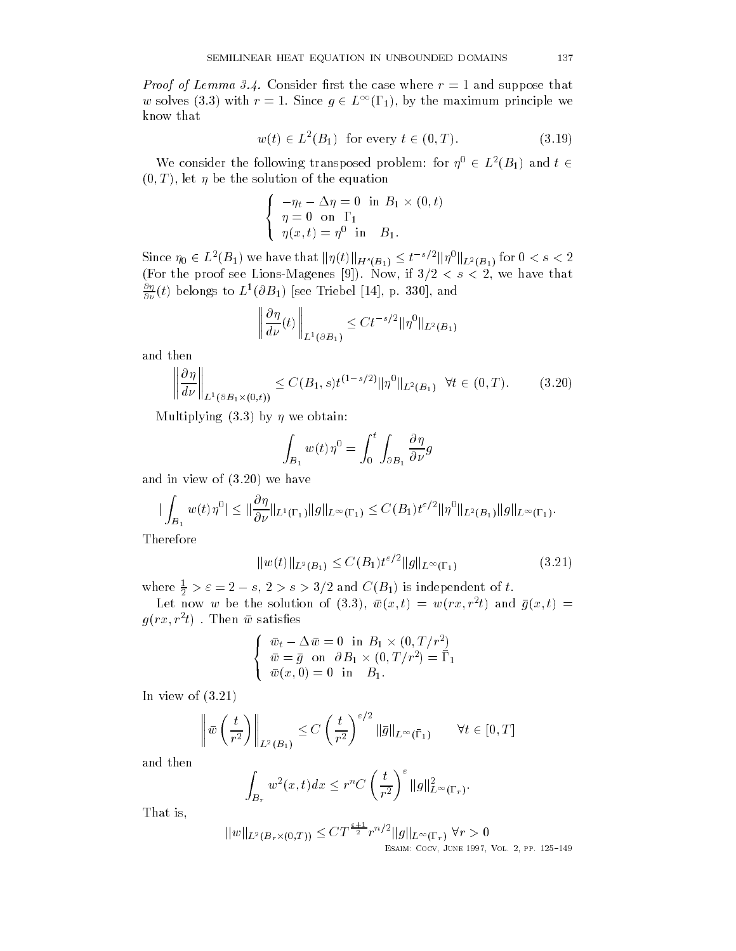Proof of Lemma Consider rst the case where r and suppose that w solves (3.3) with  $r = 1$ . Since  $g \in L^{\infty}(\Gamma_1)$ , by the maximum principle we know that

$$
w(t) \in L^2(B_1) \quad \text{for every } t \in (0, T). \tag{3.19}
$$

We consider the following transposed problem: for  $\eta^0 \in L^2(B_1)$  and  $t \in$  $(0,T)$ , let  $\eta$  be the solution of the equation

$$
\begin{cases}\n-\eta_t - \Delta \eta = 0 & \text{in } B_1 \times (0, t) \\
\eta = 0 & \text{on } \Gamma_1 \\
\eta(x, t) = \eta^0 & \text{in } B_1.\n\end{cases}
$$

Since  $\eta_0\in L^2(B_1)$  we have that  $\|\eta(t)\|_{H^s(B_1)}\leq t^{-s/2}\|\eta^0\|_{L^2(B_1)}$  for  $0 < s < 2$  $\mathbf{F}$  if and the proof see LionsMagnetic section is a set of the proof see LionsMagnetic section in the section of the section of the section of the section of the section of the section of the section of the section o  $\frac{\partial u}{\partial \nu}(t)$  belongs to  $L^*(\partial B_1)$  [see Triebel [14], p. 330], and

$$
\left\|\frac{\partial \eta}{d\nu}(t)\right\|_{L^1(\partial B_1)} \leq C t^{-s/2} \|\eta^0\|_{L^2(B_1)}
$$

and then

$$
\left\|\frac{\partial\eta}{d\nu}\right\|_{L^1(\partial B_1\times(0,t))} \le C(B_1,s)t^{(1-s/2)} \|\eta^0\|_{L^2(B_1)} \quad \forall t \in (0,T). \tag{3.20}
$$

Multiplying  $(3.3)$  by  $\eta$  we obtain:

 $\big\{$ 

$$
\int_{B_1} w(t)\eta^0 = \int_0^t \int_{\partial B_1} \frac{\partial \eta}{\partial \nu} g
$$

and in view of  $(3.20)$  we have

$$
|\int_{B_1} w(t)\eta^0| \leq \|\frac{\partial \eta}{\partial \nu}\|_{L^1(\Gamma_1)} \|g\|_{L^{\infty}(\Gamma_1)} \leq C(B_1)t^{\varepsilon/2} \|\eta^0\|_{L^2(B_1)} \|g\|_{L^{\infty}(\Gamma_1)}.
$$

Therefore

$$
||w(t)||_{L^{2}(B_{1})} \leq C(B_{1})t^{\varepsilon/2}||g||_{L^{\infty}(\Gamma_{1})}
$$
\n(3.21)

where  $\frac{1}{2} > \varepsilon = 2-s,$   $2 > s > 3/2$  and  $C(B_1)$  is independent of  $t$ .

Let now w be the solution of (5.5),  $w(x,t) = w(rx, r^{-}t)$  and  $q(x,t) =$  $q(r x, r \, \iota)$  . Then  $w$  satisfies

$$
\begin{cases} \overline{w}_t - \Delta \overline{w} = 0 \quad \text{in} \ B_1 \times (0, T/r^2) \\ \overline{w} = \overline{g} \quad \text{on} \quad \partial B_1 \times (0, T/r^2) = \overline{\Gamma}_1 \\ \overline{w}(x, 0) = 0 \quad \text{in} \quad B_1. \end{cases}
$$

In view of  $(3.21)$ 

$$
\left\|\bar{w}\left(\frac{t}{r^2}\right)\right\|_{L^2(B_1)} \le C\left(\frac{t}{r^2}\right)^{\varepsilon/2} \|\bar{g}\|_{L^\infty(\bar{\Gamma}_1)} \qquad \forall t \in [0, T]
$$

and then

$$
\int_{B_r} w^2(x,t)dx \le r^n C \left(\frac{t}{r^2}\right)^{\varepsilon} \|g\|_{L^\infty(\Gamma_r)}^2.
$$

That is

$$
||w||_{L^{2}(B_{r} \times (0,T))} \leq C T^{\frac{\epsilon+1}{2}} r^{n/2} ||g||_{L^{\infty}(\Gamma_{r})} \ \forall r > 0
$$
  
ESAIN: COCV, JUNE 1997, VOL 2, PP. 125-149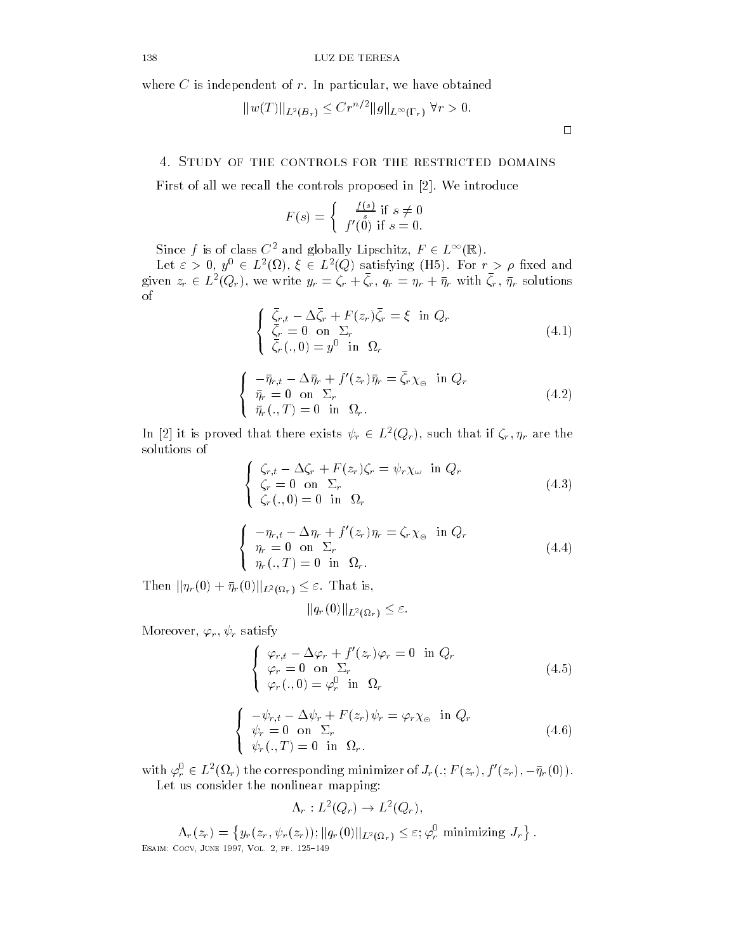where  $\mathbf{F}$  is independent of r In particular terms of r In particular terms of r In particular terms of  $\mathbf{F}$ 

$$
||w(T)||_{L^2(B_r)} \leq Cr^{n/2}||g||_{L^{\infty}(\Gamma_r)} \ \forall r > 0.
$$

First of all we recall the controls proposed in [2]. We introduce

$$
F(s) = \begin{cases} \frac{f(s)}{s} & \text{if } s \neq 0\\ f'(0) & \text{if } s = 0. \end{cases}
$$

Since f is of class  $C^2$  and globally Lipschitz,  $F \in L^{\infty}$ (  $\mathbf{r}$ 

Let  $\varepsilon > 0$ ,  $y^0 \in L^2(\Omega)$ ,  $\xi \in L^2(Q)$  satisfying (H5). For  $r > \rho$  fixed and given  $z_r \in L^2(Q_r)$ , we write  $y_r = \zeta_r + \zeta_r$ ,  $q_r = \eta_r + \bar{\eta}_r$  with  $\zeta_r$ ,  $\bar{\eta}_r$  solutions of

$$
\begin{cases} \n\bar{\zeta}_r, & t - \Delta \bar{\zeta}_r + F(z_r) \bar{\zeta}_r = \xi \quad \text{in } Q_r \\
\bar{\zeta}_r = 0 \quad \text{on } \Sigma_r \\
\bar{\zeta}_r(., 0) = y^0 \quad \text{in } \Omega_r\n\end{cases} \tag{4.1}
$$

$$
\begin{cases}\n-\bar{\eta}_{r,t} - \Delta \bar{\eta}_r + f'(z_r)\bar{\eta}_r = \bar{\zeta}_r \chi_{\Theta} & \text{in } Q_r \\
\bar{\eta}_r = 0 & \text{on } \Sigma_r \\
\bar{\eta}_r(.,T) = 0 & \text{in } \Omega_r.\n\end{cases}
$$
\n(4.2)

In [2] it is proved that there exists  $\psi_r \in L^2(Q_r)$ , such that if  $\zeta_r, \eta_r$  are the solutions of

$$
\begin{cases} \n\zeta_{r,t} - \Delta \zeta_r + F(z_r)\zeta_r = \psi_r \chi_\omega \text{ in } Q_r\\ \n\zeta_r = 0 \text{ on } \Sigma_r\\ \n\zeta_r(0,) = 0 \text{ in } \Omega_r\n\end{cases} \tag{4.3}
$$

$$
\begin{cases}\n-\eta_{r,t} - \Delta \eta_r + f'(z_r)\eta_r = \zeta_r \chi_\circ \text{ in } Q_r \\
\eta_r = 0 \text{ on } \Sigma_r \\
\eta_r(.,T) = 0 \text{ in } \Omega_r.\n\end{cases}
$$
\n(4.4)

Then  $\|\eta_r(0)+\bar{\eta}_r(0)\|_{L^2(\Omega_r)}\leq \varepsilon$ . That is,

 $\big\{$ 

 $\big\{$ 

$$
||q_r(0)||_{L^2(\Omega_r)} \leq \varepsilon.
$$

more related to the contract of the contract of the contract of the contract of the contract of the contract of

$$
\begin{cases}\n\varphi_{r,t} - \Delta \varphi_r + f'(z_r)\varphi_r = 0 \text{ in } Q_r \\
\varphi_r = 0 \text{ on } \Sigma_r \\
\varphi_r(0) = \varphi_r^0 \text{ in } \Omega_r\n\end{cases}
$$
\n(4.5)

$$
\begin{cases}\n-\psi_{r,t} - \Delta \psi_r + F(z_r)\psi_r = \varphi_r \chi_{\Theta} & \text{in } Q_r \\
\psi_r = 0 & \text{on } \Sigma_r \\
\psi_r(.,T) = 0 & \text{in } \Omega_r.\n\end{cases}
$$
\n(4.6)

with  $\varphi_r^0 \in L^2(\Omega_r)$  the corresponding minimizer of  $J_r(.;F(z_r),f'(z_r),-\bar{\eta}_r(0))$ . Let us consider the nonlinear mapping

 $\Lambda_r: L^2(Q_r) \to L^2(Q_r),$ 

 $\Lambda_r(z_r) = \{y_r(z_r, \psi_r(z_r)); ||q_r(0)||_{L^2(\Omega_r)} \leq \varepsilon; \varphi_r^0$  minimizing  $J_r\}$ . Esaim- Cocv June Vol pp 

 $\Box$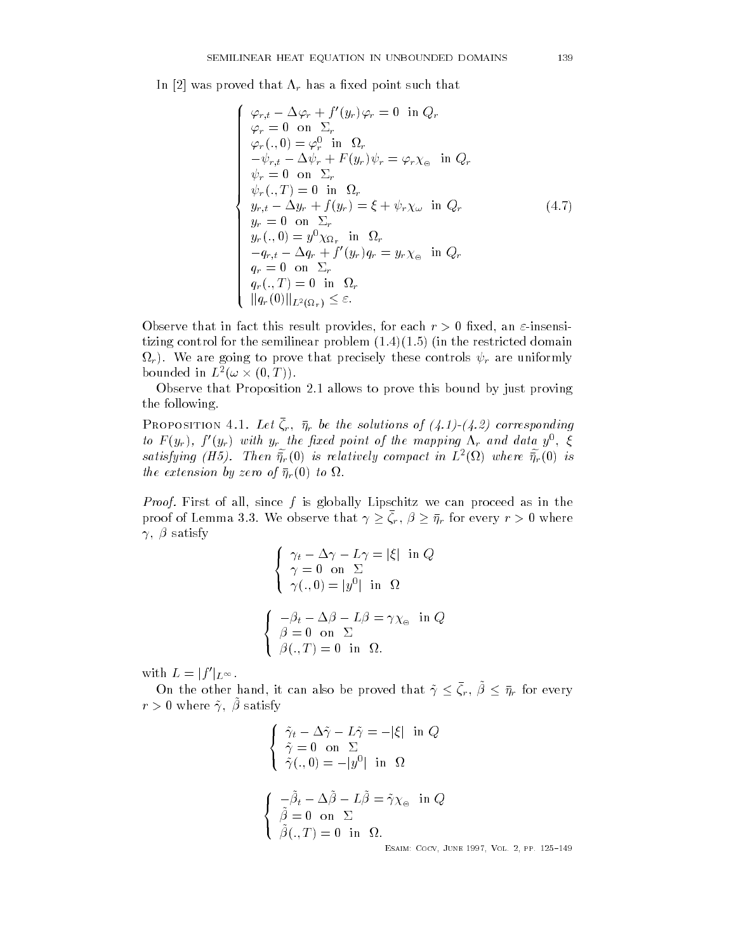In [2] was proved that  $\Lambda_r$  has a fixed point such that

$$
\begin{cases}\n\varphi_{r,t} - \Delta \varphi_r + f'(y_r)\varphi_r = 0 \text{ in } Q_r \\
\varphi_r = 0 \text{ on } \Sigma_r \\
\varphi_r(.,0) = \varphi_r^0 \text{ in } \Omega_r \\
-\psi_{r,t} - \Delta \psi_r + F(y_r)\psi_r = \varphi_r \chi_\circ \text{ in } Q_r \\
\psi_r = 0 \text{ on } \Sigma_r \\
\psi_r(.,T) = 0 \text{ in } \Omega_r \\
y_{r,t} - \Delta y_r + f(y_r) = \xi + \psi_r \chi_\omega \text{ in } Q_r \\
y_r = 0 \text{ on } \Sigma_r \\
y_r(.,0) = y^0 \chi_{\Omega_r} \text{ in } \Omega_r \\
-q_{r,t} - \Delta q_r + f'(y_r)q_r = y_r \chi_\circ \text{ in } Q_r \\
q_r = 0 \text{ on } \Sigma_r \\
q_r(.,T) = 0 \text{ in } \Omega_r \\
q_r(.,T) = 0 \text{ in } \Omega_r \\
\|\eta_r(0)\|_{L^2(\Omega_r)} \leq \varepsilon.\n\end{cases}
$$
\n(4.7)

observe that in fact this result provides a server that in fact the contract provides a server of the contract of the contract of the contract of the contract of the contract of the contract of the contract of the contract tizing control for the semilinear problem  $(1.4)(1.5)$  (in the restricted domain -r We are going to prove that precisely these controls r are uniformly bounded in  $L^2(\omega\times (0,T))$ .

Observe that Proposition 2.1 allows to prove this bound by just proving the following

I KOPOSITION 4.1. Let  $\zeta_r$ ,  $\eta_r$  be the solutions of  $(4.1)$ - $(4.2)$  corresponding to  $F(y_r)$ ,  $f(y_r)$  with  $y_r$  the fixed point of the mapping  $\Lambda_r$  and data  $y^-, \xi^$ satisfying (H5). Then  $\tilde{\eta}_r(0)$  is relatively compact in  $L^2(\Omega)$  where  $\tilde{\eta}_r(0)$  is the extension by zero of  $\mathcal{F}_t$  and  $\mathcal{F}_t$  to  $\mathcal{F}_t$  for  $\mathcal{F}_t$ 

Proof First of all since f is globally Lipschitz we can proceed as in the proof of Lemma 3.3. We observe that  $\gamma \geq \zeta_r$  ,  $\beta \geq \bar{\eta}_r$  for every  $r > 0$  where  $\gamma$ ,  $\beta$  satisfy

$$
\begin{cases}\n\gamma_t - \Delta \gamma - L\gamma = |\xi| & \text{in } Q \\
\gamma = 0 & \text{on } \Sigma \\
\gamma(.,0) = |y^0| & \text{in } \Omega\n\end{cases}
$$
\n
$$
\begin{cases}\n-\beta_t - \Delta \beta - L\beta = \gamma \chi_{\circ} & \text{in } Q \\
\beta = 0 & \text{on } \Sigma \\
\beta(.,T) = 0 & \text{in } \Omega.\n\end{cases}
$$

with  $L = |f'|_{L^{\infty}}$ .

On the other hand, it can also be proved that  $\tilde{\gamma} \leq \zeta_r$ ,  $\beta \leq \bar{\eta}_r$  for every  $\iota \nearrow 0$  where  $\iota$ ,  $\mu$  satisfy

$$
\begin{cases} \tilde{\gamma}_t - \Delta \tilde{\gamma} - L \tilde{\gamma} = -|\xi| & \text{in } Q \\ \tilde{\gamma} = 0 & \text{on } \Sigma \\ \tilde{\gamma}(.,0) = -|y^0| & \text{in } \Omega \end{cases}
$$
  

$$
\begin{cases} -\tilde{\beta}_t - \Delta \tilde{\beta} - L \tilde{\beta} = \tilde{\gamma} \chi_{\circ} & \text{in } Q \\ \tilde{\beta} = 0 & \text{on } \Sigma \\ \tilde{\beta}(.,T) = 0 & \text{in } \Omega. \end{cases}
$$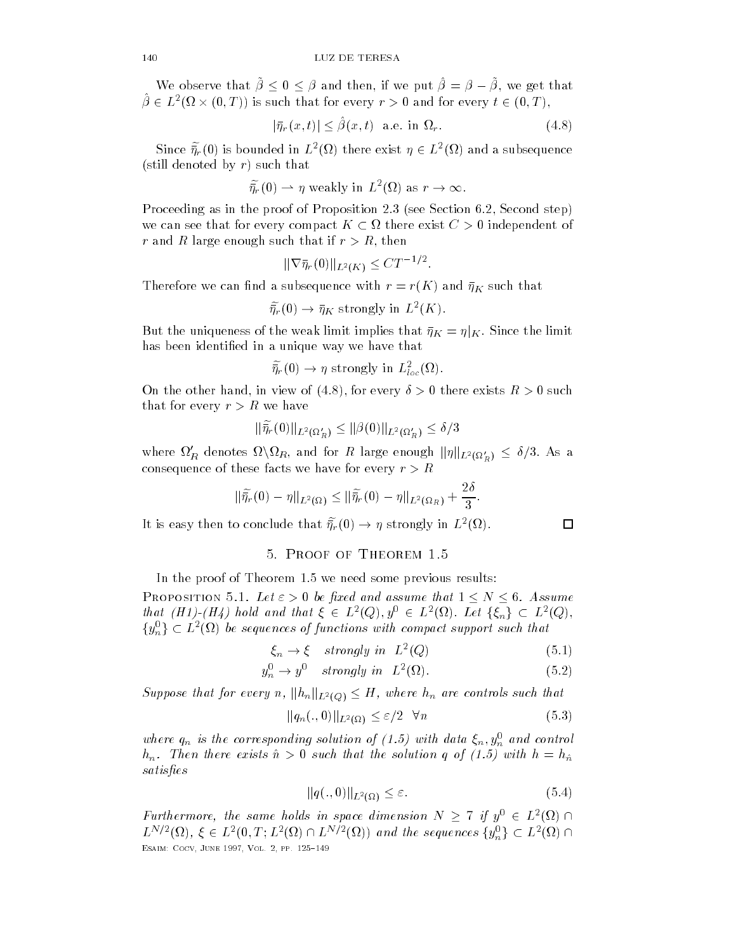We observe that  $\beta \leq 0 \leq \beta$  and then, if we put  $\beta = \beta - \beta$ , we get that  $\hat{\beta} \in L^2(\Omega \times (0,T))$  is such that for every  $r > 0$  and for every  $t \in (0,T)$ ,<br>  $|\bar{\eta}_r(x,t)| \leq \hat{\beta}(x,t)$  a.e. in  $\Omega_r$ . (4.8)

$$
|\bar{\eta}_r(x,t)| \le \hat{\beta}(x,t) \quad \text{a.e. in } \Omega_r. \tag{4.8}
$$

Since  $\tilde{\eta}_r(0)$  is bounded in  $L^2(\Omega)$  there exist  $\eta \in L^2(\Omega)$  and a subsequence<br>ill denoted by r) such that<br> $\tilde{\eta}_r(0) \rightharpoonup \eta$  weakly in  $L^2(\Omega)$  as  $r \to \infty$ . (still denoted by  $r$ ) such that

$$
\widetilde{\eta}_r(0) \rightharpoonup \eta
$$
 weakly in  $L^2(\Omega)$  as  $r \to \infty$ .

Proceeding as in the proof of Proposition see Section Second step we can see that for every compact  $K\subset \Omega$  there exist  $C>0$  independent of r and R large enough such that if results in the such that if results in the such that if results in the such

$$
\|\nabla \bar{\eta}_r(0)\|_{L^2(K)} \leq C T^{-1/2}.
$$

Therefore we can find a subsequence with  $r = r(K)$  and  $\bar{\eta}_K$  such that

$$
\widetilde{\bar{\eta}_r}(0) \to \bar{\eta}_K \text{ strongly in } L^2(K).
$$

But the uniqueness of the weak limit implies that  $\bar{\eta}_K = \eta|_K$ . Since the limit has been identified in a unique way we have that

$$
\widetilde{\bar{\eta}_r}(0) \to \eta \text{ strongly in } L^2_{loc}(\Omega).
$$

On the other hand, in view of (4.8), for every  $\sigma > 0$  there exists  $R > 0$  such<br>that for every  $r > R$  we have<br> $\|\tilde{\eta}_r(0)\|_{L^2(\Omega'_R)} \le \|\beta(0)\|_{L^2(\Omega'_R)} \le \delta/3$ that for every  $r>R$  we have

$$
\|\widetilde{\bar{\eta_r}}(0)\|_{L^2(\Omega_R')}\leq \|\beta(0)\|_{L^2(\Omega_R')}\leq \delta/3
$$

where  $\Omega_R'$  denotes  $\Omega\backslash\Omega_R$ , and for  $R$  large enough  $\|\eta\|_{L^2(\Omega_R')}\,\leq\,\delta/3.$  As a consequence of these facts we have for every relationship and

these facts we have for every 
$$
r > R
$$
  

$$
\|\tilde{\eta}_r(0) - \eta\|_{L^2(\Omega)} \le \|\tilde{\eta}_r(0) - \eta\|_{L^2(\Omega_R)} + \frac{2\delta}{3}.
$$

It is easy then to conclude that  $\widetilde{\bar{\eta_r}}(0) \to \eta$  strongly in  $L^2(\Omega)$ .

In the proof of Theorem  $1.5$  we need some previous results:

PROPOSITION 5.1. Let  $\varepsilon > 0$  be fixed and assume that  $1 \le N \le 6$ . Assume In the proot of Theorem 1.5 we need some previous results:<br>
PROPOSITION 5.1. Let  $\varepsilon > 0$  be fixed and assume that  $1 \le N \le 6$ . Assume<br>
that  $(H1)$ - $(H4)$  hold and that  $\xi \in L^2(Q), y^0 \in L^2(\Omega)$ . Let  $\{\xi_n\} \subset L^2(Q),$  $\{y_n^0\} \subset L^2(\Omega)$  be sequences of functions with compact support such that ROPOSITION<br>at  $(H1)$ - $(H$ <br> $_{n}^{0}\}\subset L^{2}(\Omega)$ 

$$
\xi_n \to \xi \quad strongly \ in \quad L^2(Q) \tag{5.1}
$$

$$
y_n^0 \to y^0 \quad strongly \ in \quad L^2(\Omega). \tag{5.2}
$$

Suppose that for every n,  $||h_n||_{L^2(Q)} \leq H$ , where  $h_n$  are controls such that

$$
||q_n(.,0)||_{L^2(\Omega)} \le \varepsilon/2 \quad \forall n \tag{5.3}
$$

where  $q_n$  is the corresponding solution of  $(1.9)$  with data  $\zeta_n, y_n$  and control  $h_n$ . Then there exists  $\hat{n} > 0$  such that the solution q of (1.5) with  $h = h_{\hat{n}}$ satisfies

$$
||q(.,0)||_{L^{2}(\Omega)} \leq \varepsilon. \tag{5.4}
$$

Furthermore, the same holds in space dimension  $N \geq 7$  if  $y^0 \in L^2(\Omega) \cap$ Furthermore, the same holds in space dimension  $N \ge 7$  if  $y^0 \in L^2(\Omega) \cap L^{N/2}(\Omega)$ ,  $\xi \in L^2(0,T;L^2(\Omega) \cap L^{N/2}(\Omega))$  and the sequences  $\{y_n^0\} \subset L^2(\Omega) \cap L^{N/2}(\Omega)$ Esaim- Cocv June Vol pp 

$$
\Box
$$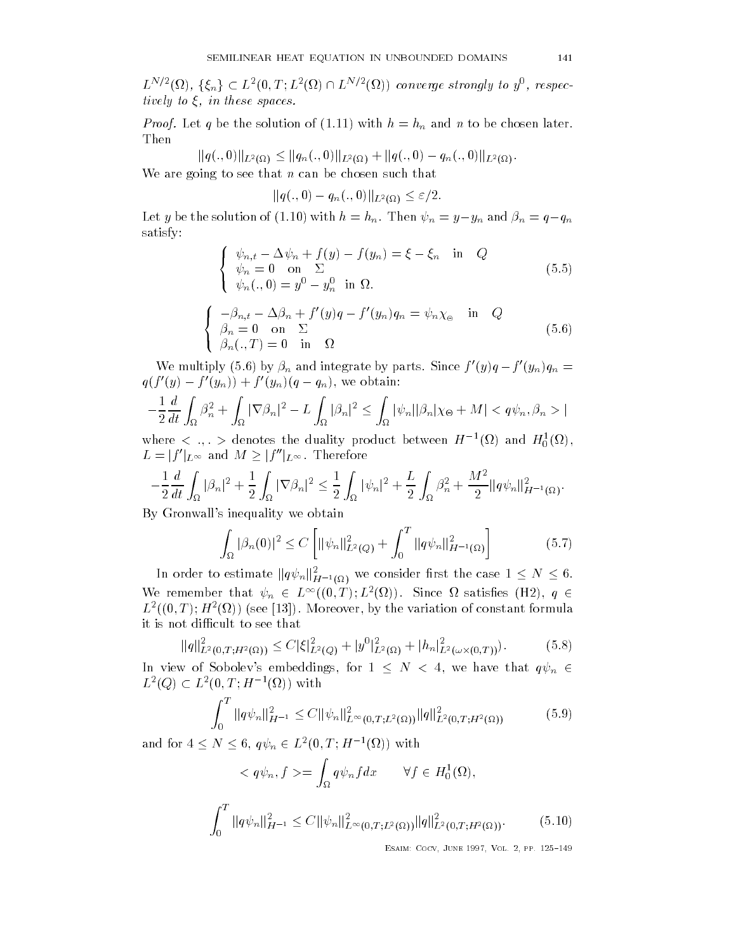SEMILINEAR HEAT EQUATION IN UNBOUNDED DOMAINS 141<br>  $L^{N/2}(\Omega)$ ,  $\{\xi_n\} \subset L^2(0,T;L^2(\Omega) \cap L^{N/2}(\Omega))$  converge strongly to  $y^0$ , respectively to  $\xi$ , in these spaces.

solution of (1.11) w<br>  $\alpha_{(\Omega)} \leq ||q_n(.,0)||_{L^2(\Omega)}$  $P$ roof Let and n and n and n and n to be chosen later with h and n to be chosen later with h and n to be chosen later with  $P$ Then

$$
\|q(.,0)\|_{L^2(\Omega)} \le \|q_n(.,0)\|_{L^2(\Omega)} + \|q(.,0) - q_n(.,0)\|_{L^2(\Omega)}.
$$

We are going to see that n can be chosen such that

$$
||q(.,0)-q_n(.,0)||_{L^2(\Omega)} \leq \varepsilon/2.
$$

Let y be the solution of (1.10) with  $h = h_n$ . Then  $\psi_n = y - y_n$  and  $\beta_n = q - q_n$ satisfy

$$
\begin{cases}\n\psi_{n,t} - \Delta \psi_n + f(y) - f(y_n) = \xi - \xi_n & \text{in} \quad Q \\
\psi_n = 0 & \text{on} \quad \Sigma \\
\psi_n(.,0) = y^0 - y_n^0 & \text{in} \quad \Omega.\n\end{cases}
$$
\n(5.5)

$$
\begin{cases}\n-\beta_{n,t} - \Delta \beta_n + f'(y)q - f'(y_n)q_n = \psi_n \chi_{\Theta} & \text{in} \quad Q \\
\beta_n = 0 & \text{on} \quad \Sigma \\
\beta_n(.,T) = 0 & \text{in} \quad \Omega\n\end{cases}
$$
\n(5.6)

We multiply (5.6) by  $\beta_n$  and integrate by parts. Since  $f'(y)q-f'(y_n)q_n=$  $q(f'(y) - f'(y_n)) + f'(y_n)(q - q_n)$ , we obtain:

$$
-\frac{1}{2}\frac{d}{dt}\int_{\Omega}\beta_n^2 + \int_{\Omega}|\nabla\beta_n|^2 - L\int_{\Omega}|\beta_n|^2 \le \int_{\Omega}|\psi_n||\beta_n|\chi_{\Theta} + M| < q\psi_n, \beta_n > |
$$

where  $\langle \, \cdot \, , \, \cdot \, \rangle$  denotes the duality product between  $H = \langle \, \cdot \, \cdot \, \rangle$  and  $H_0 \langle \, \cdot \, \cdot \, \rangle$  $Z$  at  $J_{\Omega}$   $J_{\Omega}$   $J_{\Omega}$   $J_{\Omega}$   $J_{\Omega}$   $J_{\Omega}$ <br>where  $\langle , . \rangle$  denotes the duality produ<br> $L = |f'|_{L^{\infty}}$  and  $M \ge |f''|_{L^{\infty}}$ . Therefore

$$
-\frac{1}{2}\frac{d}{dt}\int_{\Omega}|\beta_n|^2+\frac{1}{2}\int_{\Omega}|\nabla\beta_n|^2\leq \frac{1}{2}\int_{\Omega}|\psi_n|^2+\frac{L}{2}\int_{\Omega}\beta_n^2+\frac{M^2}{2}\|q\psi_n\|_{H^{-1}(\Omega)}^2.
$$

By Gronwall's inequality we obtain

 $\big\{$ 

$$
\int_{\Omega} |\beta_n(0)|^2 \le C \left[ \|\psi_n\|_{L^2(Q)}^2 + \int_0^T \|q\psi_n\|_{H^{-1}(\Omega)}^2 \right] \tag{5.7}
$$

In order to estimate  $\|q\psi_n\|_{H^{-1}(\Omega)}^2$  we consider first the case  $1\le N\le 6.$ We remember that  $\psi_n \in L^{\infty}((0,T);L^2(\Omega))$ . Since  $\Omega$  satisfies (H2),  $q \in$  $L^-(0,1)$ ;  $H^-(\Omega)$  (see [15]). Moreover, by the variation of constant formula it is not difficult to see that

$$
||q||_{L^{2}(0,T;H^{2}(\Omega))}^{2} \leq C|\xi|_{L^{2}(Q)}^{2} + |y^{0}|_{L^{2}(\Omega)}^{2} + |h_{n}|_{L^{2}(\omega \times (0,T))}^{2}).
$$
\n(5.8)

In view of Sobolev's embeddings, for  $1 \le N < 4$ , we have that  $q\psi_n \in$  $L^2(Q) \subset L^2(0,T;H^{-1}(\Omega))$  with

$$
\int_0^T \|q\psi_n\|_{H^{-1}}^2 \le C \|\psi_n\|_{L^\infty(0,T;L^2(\Omega))}^2 \|q\|_{L^2(0,T;H^2(\Omega))}^2 \tag{5.9}
$$

and for  $4 \leq N \leq 6$ ,  $q\psi_n \in L^2(0,T;H^{-1}(\Omega))$  with

$$
\langle q\psi_n, f \rangle = \int_{\Omega} q\psi_n f dx \qquad \forall f \in H_0^1(\Omega),
$$

$$
\int_0^T \|q\psi_n\|_{H^{-1}}^2 \le C \|\psi_n\|_{L^\infty(0,T;L^2(\Omega))}^2 \|q\|_{L^2(0,T;H^2(\Omega))}^2. \tag{5.10}
$$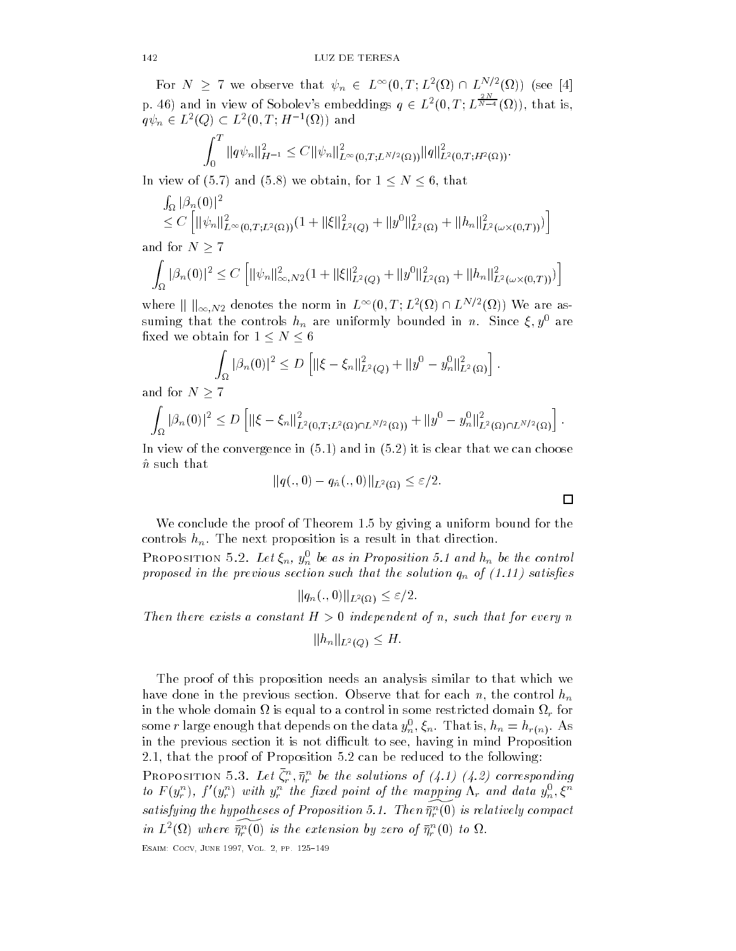For  $N \geq 7$  we observe that  $\psi_n \in L^{\infty}(0,T;L^2(\Omega) \cap L^{N/2}(\Omega))$  (see [4] p. 46) and in view of Sobolev's embeddings  $q \in L^2(0,T;L^{\overline{N-4}}(0))$  $\overline{N-4}(\Omega)$ , that is,  $q\psi_n \in L^2(Q) \subset L^2(0,T;H^{-1}(\Omega))$  and

$$
\int_0^1 \|q\psi_n\|_{H^{-1}}^2 \leq C \|\psi_n\|_{L^\infty(0,T;L^{N/2}(\Omega))}^2 \|q\|_{L^2(0,T;H^2(\Omega))}^2.
$$

In view of (5.7) and (5.8) we obtain, for  $1 \le N \le 6$ , that

$$
\int_{\Omega} |\beta_n(0)|^2
$$
  
\n
$$
\leq C \left[ \|\psi_n\|_{L^{\infty}(0,T;L^2(\Omega))}^2 (1 + \|\xi\|_{L^2(Q)}^2 + \|y^0\|_{L^2(\Omega)}^2 + \|h_n\|_{L^2(\omega \times (0,T))}^2) \right]
$$

and for  $N \geq 7$ 

$$
\int_{\Omega} |\beta_n(0)|^2 \le C \left[ \|\psi_n\|_{\infty, N2}^2 (1 + \|\xi\|_{L^2(Q)}^2 + \|y^0\|_{L^2(\Omega)}^2 + \|h_n\|_{L^2(\omega \times (0,T))}^2) \right]
$$
  
where  $\|\|_{\infty, N2}$  denotes the norm in  $L^{\infty}(0, T; L^2(\Omega) \cap L^{N/2}(\Omega))$  We are as-

suming that the controls  $n_n$  are unnormly bounded in n. Since  $\zeta, y$  are fixed we obtain for  $1 \leq N \leq 6$ 

$$
\int_{\Omega} |\beta_n(0)|^2 \leq D \left[ \|\xi - \xi_n\|_{L^2(Q)}^2 + \|y^0 - y_n^0\|_{L^2(\Omega)}^2 \right].
$$

and for  $N \geq 7$ 

$$
\int_{\Omega} |\beta_n(0)|^2 \le D \left[ \|\xi - \xi_n\|_{L^2(0,T;L^2(\Omega) \cap L^{N/2}(\Omega))}^2 + \|y^0 - y_n^0\|_{L^2(\Omega) \cap L^{N/2}(\Omega)}^2 \right].
$$

In view of the convergence in  $(5.1)$  and in  $(5.2)$  it is clear that we can choose  $\hat{n}$  such that

$$
||q(.,0)-q_{\hat{n}}(.,0)||_{L^2(\Omega)}\leq \varepsilon/2.
$$

囗

We conclude the proof of Theorem  $1.5$  by giving a uniform bound for the controls  $h_n$ . The next proposition is a result in that direction.

**FROPOSITION 3.2.** Let  $\zeta_n$ ,  $y_n$  be as in Proposition 3.1 and  $u_n$  be the control proposed in the previous section such that the solution  $q_n$  of  $(1.11)$  satisfies

 $||q_n(.,0)||_{L^2(\Omega)} \leq \varepsilon/2.$ 

Then there exists a constant  $H > 0$  independent of n, such that for every n

$$
||h_n||_{L^2(Q)} \leq H.
$$

The proof of this proposition needs an analysis similar to that which we have done in the previous section Observe that for each n the control hn in the whole domain  $\mathbf{u}$  is equal to a control in some restricted domain  $\mathbf{u}$  in some restricted domain  $\mathbf{u}$ some r large enough that depends on the data  $y_n^-, \zeta_n$ . That is,  $n_n = n_{r(n)}$ . As in the previous section it is not dicult to see having in mind Proposition that the proof of Proposition can be reduced to the following **PROPOSITION 5.3. Let**  $\zeta_r^r, \eta_r^r$  **be the solutions of**  $(4.1)$  $(4.2)$  **corresponding** to  $r(y_r)$ ,  $f(y_r)$  with  $y_r$  the fixed point of the mapping  $\Lambda_r$  and data  $y_n, \zeta$ 

satisfying the hypotheses of Proposition 5.1. Then  $\eta_r^{\downarrow}(0)$  is relatively compact in  $L^-(\Omega)$  where  $\eta_r^{\scriptscriptstyle\mu}(\mathsf{U})$  is the extension by zero of  $\eta_r^{\scriptscriptstyle\mu}(\mathsf{U})$  to  $\Omega$ .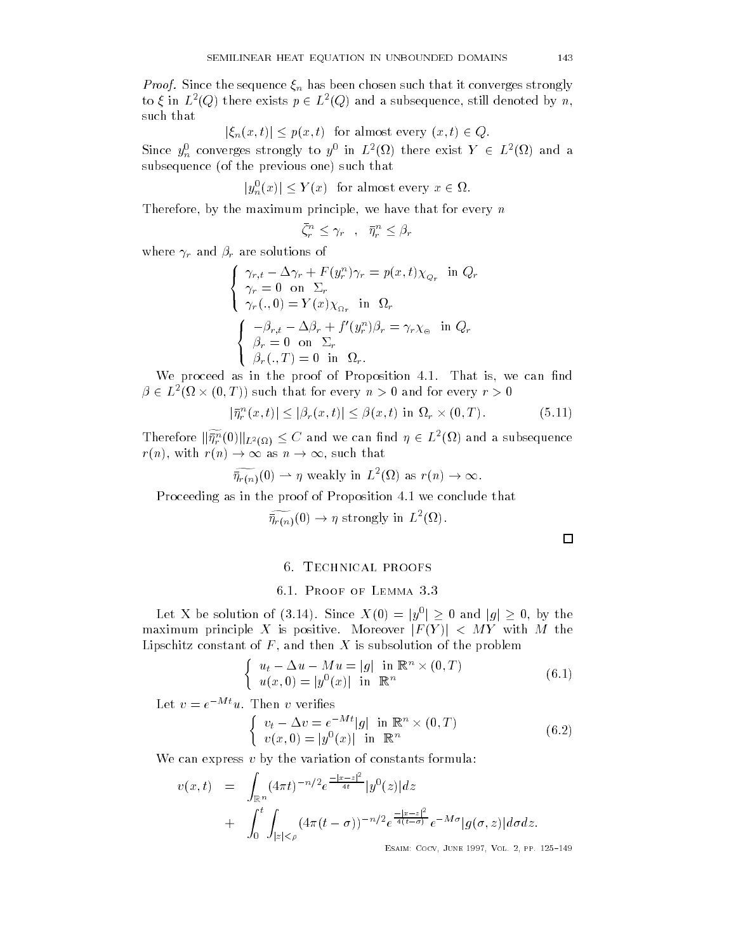*Proof.* Since the sequence  $\xi_n$  has been chosen such that it converges strongly to  $\xi$  in  $L^2(Q)$  there exists  $p \in L^2(Q)$  and a subsequence, still denoted by n, such that

 $|\xi_n(x,t)| \leq p(x,t)$  for almost every  $(x,t) \in Q$ .

Since  $y_n^0$  converges strongly to  $y^0$  in  $L^2(\Omega)$  there exist  $Y \in L^2(\Omega)$  and a<br>subsequence (of the previous one) such that<br> $|y_n^0(x)| \le Y(x)$  for almost every  $x \in \Omega$ . subsequence (of the previous one) such that

$$
|y_n^0(x)| \le Y(x) \text{ for almost every } x \in \Omega.
$$

Therefore by the maximum principle we have that for every n

$$
\bar{\zeta}_r^n \leq \gamma_r \quad , \quad \bar{\eta}_r^n \leq \beta_r
$$

where  $\gamma_r$  and  $\beta_r$  are solutions of

$$
\begin{cases}\n\gamma_{r,t} - \Delta \gamma_r + F(y_r^n)\gamma_r = p(x,t)\chi_{Q_r} & \text{in } Q_r \\
\gamma_r = 0 & \text{on } \Sigma_r \\
\gamma_r(.,0) = Y(x)\chi_{\Omega_r} & \text{in } \Omega_r\n\end{cases}
$$
\n
$$
\begin{cases}\n-\beta_{r,t} - \Delta \beta_r + f'(y_r^n)\beta_r = \gamma_r \chi_{\Theta} & \text{in } Q_r \\
\beta_r = 0 & \text{on } \Sigma_r \\
\beta_r(.,T) = 0 & \text{in } \Omega_r.\n\end{cases}
$$

We proceed as in the proof of Proposition That is we can nd  $\beta \in L^2(\Omega \times (0,T))$  such that for every  $n > 0$  and for every  $r > 0$ if in the proof of Proposition 4.<br>
(i) such that for every  $n > 0$  and<br>  $\left| \begin{array}{l} n \\ r \end{array} \right| (x, t) | \leq |\beta_r(x, t)| \leq \beta(x, t)$  in  $\Omega$ 

$$
|\bar{\eta}_r^n(x,t)| \le |\beta_r(x,t)| \le \beta(x,t) \text{ in } \Omega_r \times (0,T). \tag{5.11}
$$

Therefore  $\|\widetilde{\bar{\eta}^n_r}(0)\|_{L^2(\Omega)}\leq C$  and we can find  $\eta\in L^2(\Omega)$  and a subsequence rn and the such that the such a such a such a such a such a such a such a such a such a such a such a such a s fore  $\|\widetilde{\eta}_r^n(0)\|_{L^2(\Omega)} \leq C$  and we<br>with  $r(n) \to \infty$  as  $n \to \infty$ , such  $a \eta \in L$  (sz) and a s<br>) as  $r(n) \to \infty$ .

$$
\widetilde{\overline{\eta}_{r(n)}}(0) \rightharpoonup \eta \text{ weakly in } L^2(\Omega) \text{ as } r(n) \to \infty.
$$

Proceeding as in the proof of Proposition 4.1 we conclude that

 $\widetilde{\overline{\eta}_{r(n)}}(0) \to \eta$  strongly in  $L^2(\Omega)$ .

 $\Box$ 

## 6.1. PROOF OF LEMMA 3.3  $\frac{1}{3}$

6.1. PROOF OF LEMMA 3.3<br>Let X be solution of (3.14). Since  $X(0) = |y^0| > 0$  and  $|q| > 0$ , by the maximum principle X is positive. Moreover  $|F(Y)| < MY$  with M the Lipschitz constant of F and then X is subsolution of the problem

$$
\begin{cases}\n u_t - \Delta u - Mu = |g| \quad \text{in } \mathbb{R}^n \times (0, T) \\
 u(x, 0) = |y^0(x)| \quad \text{in } \mathbb{R}^n\n\end{cases}
$$
\n(6.1)

Let  $v = e^{-Mt}u$ . Then v verifies

$$
\begin{cases}\nv_t - \Delta v = e^{-Mt} |g| \text{ in } \mathbb{R}^n \times (0, T) \\
v(x, 0) = |y^0(x)| \text{ in } \mathbb{R}^n\n\end{cases}
$$
\n(6.2)

Esaim- Cocv June Vol pp 

We can express  $v$  by the variation of constants formula:

$$
v(x,t) = \int_{\mathbb{R}^n} (4\pi t)^{-n/2} e^{\frac{-|x-z|^2}{4t}} |y^0(z)| dz
$$
  
+ 
$$
\int_0^t \int_{|z| < \rho} (4\pi (t - \sigma))^{-n/2} e^{\frac{-|x-z|^2}{4(t-\sigma)}} e^{-M\sigma} |g(\sigma, z)| d\sigma dz.
$$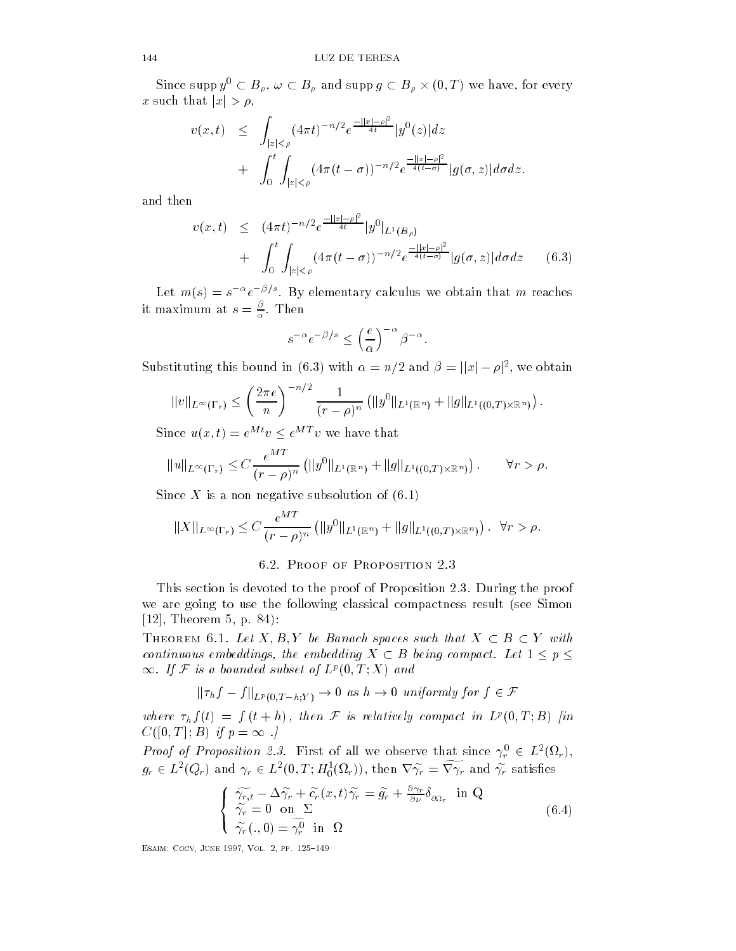Since supp  $y^0 \subset B_\rho$ ,  $\omega \subset B_\rho$  and supp  $g \subset B_\rho \times (0,T)$  we have, for every x such that  $|x| > \rho$ ,

$$
v(x,t) \leq \int_{|z| < \rho} (4\pi t)^{-n/2} e^{\frac{-||x| - \rho|^2}{4t}} |y^0(z)| dz
$$
  
+ 
$$
\int_0^t \int_{|z| < \rho} (4\pi (t - \sigma))^{-n/2} e^{\frac{-||x| - \rho|^2}{4(t - \sigma)}} |g(\sigma, z)| d\sigma dz.
$$

and then

$$
v(x,t) \le (4\pi t)^{-n/2} e^{\frac{-||x|-p|^2}{4t}} |y^0|_{L^1(B_\rho)}
$$
  
+ 
$$
\int_0^t \int_{|z|<\rho} (4\pi (t-\sigma))^{-n/2} e^{\frac{-||x|-\rho|^2}{4(t-\sigma)}} |g(\sigma,z)| d\sigma dz
$$
 (6.3)

Let  $m(s) = s^{-s} e^{-s}$ . By elementary calculus we obtain that  $m$  reaches it maximum at  $s = \frac{\beta}{\alpha}$ . Then

$$
s^{-\alpha}e^{-\beta/s} \le \left(\frac{e}{\alpha}\right)^{-\alpha} \beta^{-\alpha}.
$$

 $s^{-\alpha}e^{-\beta/s} \leq \left(\frac{e}{\alpha}\right)^{-\alpha} \beta^{-\alpha}.$ <br>Substituting this bound in (6.3) with  $\alpha = n/2$  and  $\beta = ||x| - \rho|^2$ , we obtain

$$
||v||_{L^{\infty}(\Gamma_r)} \leq \left(\frac{2\pi e}{n}\right)^{-n/2} \frac{1}{(r-\rho)^n} (||y^0||_{L^1(\mathbb{R}^n)} + ||g||_{L^1((0,T)\times\mathbb{R}^n)}) .
$$

Since  $u(x, t) = e^{Mt}v \le e^{MT}v$  we have that

$$
||u||_{L^{\infty}(\Gamma_r)} \leq C \frac{e^{MT}}{(r-\rho)^n} (||y^0||_{L^1(\mathbb{R}^n)} + ||g||_{L^1((0,T)\times \mathbb{R}^n)}) \qquad \forall r > \rho.
$$

Since X is a non negative subsolution of  $(6.1)$ 

$$
||X||_{L^{\infty}(\Gamma_r)} \leq C \frac{e^{MT}}{(r-\rho)^n} (||y^0||_{L^1(\mathbb{R}^n)} + ||g||_{L^1((0,T)\times \mathbb{R}^n)}) \, . \, \forall r > \rho.
$$

## 6.2. PROOF OF PROPOSITION 2.3

This section is devoted to the proof of Proposition 2.3. During the proof we are going to use the following classical compactness result (see Simon Theorem p 

THEOREM 6.1. Let  $X, B, Y$  be Banach spaces such that  $X \subset B \subset Y$  with continuous embeddings, the embedding  $X \subset B$  being compact. Let  $1 \leq p \leq$  $\infty$ . If F is a bounded subset of  $L^p(0,T;X)$  and the embedding  $X \subseteq D$  being compact. Let  $1 \le$ <br>ubset of  $L^p(0,T;X)$  and<br> $T_{-h}:Y) \to 0$  as  $h \to 0$  uniformly for  $f \in \mathcal{F}$ 

$$
\|\tau_h f - f\|_{L^p(0,T-h;Y)} \to 0 \text{ as } h \to 0 \text{ uniformly for } f \in \mathcal{F}
$$

where  $\tau_h f(t) = f(t+h)$ , then F is relatively compact in  $L^p(0,T;B)$  [in  $C([0,T];B)$  if  $p=\infty$  .

*Proof of Proposition 2.3.* First of all we observe that since  $\gamma_r^0 \in L^2(\Omega_r)$ ,  $g_r\in L^2(Q_r)$  and  $\gamma_r\in L^2(0,T;H^1_0(\Omega_r)),$  then  $\nabla\widetilde{\gamma_r}=\widetilde{\nabla\gamma_r}$  and  $\widetilde{\gamma_r}$  satisfies

$$
\begin{cases}\n\widetilde{\gamma_{r,t}} - \Delta \widetilde{\gamma_r} + \widetilde{c}_r(x,t)\widetilde{\gamma_r} = \widetilde{g}_r + \frac{\partial \gamma_r}{\partial \nu} \delta_{\partial \Omega_r} & \text{in } Q \\
\widetilde{\gamma_r} = 0 & \text{on } \Sigma \\
\widetilde{\gamma_r}(. , 0) = \widetilde{\gamma_r^0} & \text{in } \Omega\n\end{cases}
$$
\n(6.4)

—————————————————————————————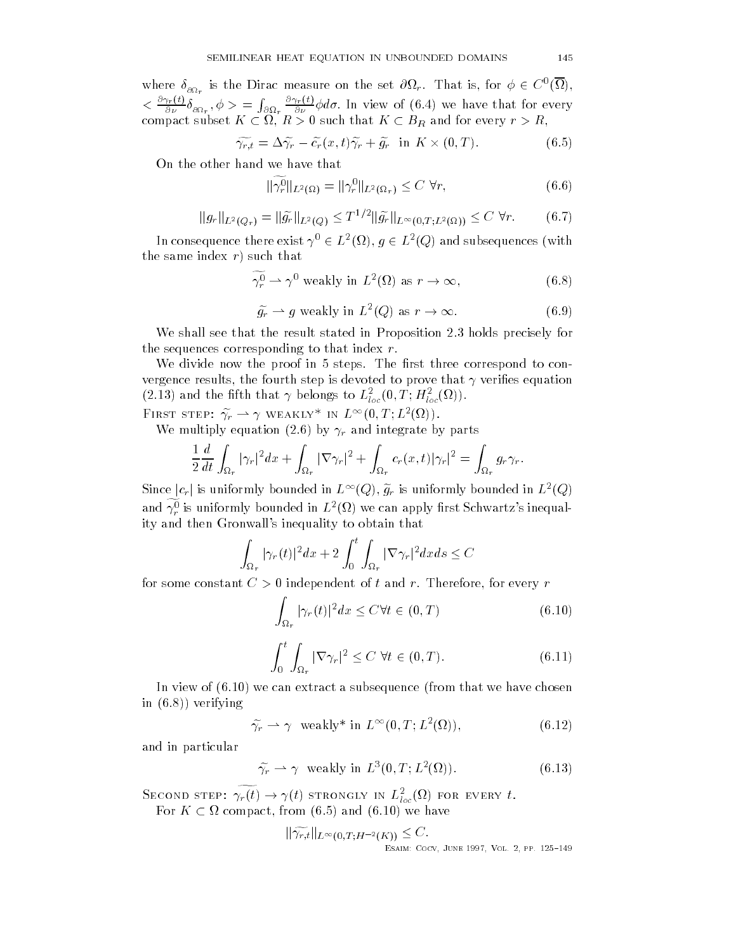where  $\delta_{_{\partial\Omega_r}}$  is the Dirac measure on the set  $\partial\Omega_r.$  That is, for  $\phi\,\in\,C^0(\Omega)$ . . .  $\langle \frac{\partial \gamma_r(t)}{\partial \nu} \delta_{\partial \Omega_r}, \phi \rangle = \int_{\partial \Omega_r} \frac{\partial \gamma_r(t)}{\partial \nu} \phi d\sigma$ . In view of (6.4) we have that for every  $r > R$ ,<br>compact subset  $K \subset \Omega$ ,  $R > 0$  such that  $K \subset B_R$  and for every  $r > R$ ,

$$
\widetilde{\gamma_{r,t}} = \Delta \widetilde{\gamma_r} - \widetilde{c_r}(x,t)\widetilde{\gamma_r} + \widetilde{g_r} \quad \text{in } K \times (0,T). \tag{6.5}
$$

On the other hand we have that

$$
\|\widetilde{\gamma_r^0}\|_{L^2(\Omega)} = \|\gamma_r^0\|_{L^2(\Omega_r)} \le C \,\forall r,\tag{6.6}
$$

$$
||g_r||_{L^2(Q_r)} = ||\widetilde{g_r}||_{L^2(Q)} \le T^{1/2} ||\widetilde{g_r}||_{L^\infty(0,T;L^2(\Omega))} \le C \,\forall r. \tag{6.7}
$$

In consequence there exist  $\gamma^0 \in L^2(\Omega)$ ,  $q \in L^2(Q)$  and subsequences (with the same index  $r$ ) such that  $\begin{align*} \mathcal{L} &\xrightarrow{L} (\mathscr{L}) \text{ and such} \end{align*}$ ) as  $r \to \infty$ ,

$$
\widetilde{\gamma_r^0} \rightharpoonup \gamma^0 \text{ weakly in } L^2(\Omega) \text{ as } r \to \infty,
$$
\n(6.8)\n
$$
\widetilde{q_r} \rightharpoonup q \text{ weakly in } L^2(Q) \text{ as } r \to \infty.
$$
\n(6.9)

$$
\widetilde{g_r} \rightharpoonup g \text{ weakly in } L^2(Q) \text{ as } r \to \infty. \tag{6.9}
$$

We shall see that the result stated in Proposition 2.3 holds precisely for the sequences corresponding to that index  $r$ .

We divide now the proof in 5 steps. The first three correspond to convergence results in the fourth step is devoted to prove that I verified that the step (2.15) and the fitth that  $\gamma$  belongs to  $L_{loc}(0,1;H_{loc}(M))$ .

FIRST STEP:  $\widetilde{\gamma_r} \rightharpoonup \gamma$  weakly\* in  $L^{\infty}(0,T;L^2(\Omega))$ .

We multiply equation (2.6) by  $\gamma_r$  and integrate by parts

$$
\frac{1}{2}\frac{d}{dt}\int_{\Omega_r}|\gamma_r|^2dx+\int_{\Omega_r}|\nabla\gamma_r|^2+\int_{\Omega_r}c_r(x,t)|\gamma_r|^2=\int_{\Omega_r}g_r\gamma_r.
$$

Since  $|c_r|$  is uniformly bounded in  $L^\infty(Q),$   $\widetilde{g}_r$  is uniformly bounded in  $L^2(Q)$ and  $\widetilde{\gamma^0_r}$  is uniformly bounded in  $L^2(\Omega)$  we can apply first Schwartz's inequality and then Gronwall's inequality to obtain that

$$
\int_{\Omega_r} |\gamma_r(t)|^2 dx + 2 \int_0^t \int_{\Omega_r} |\nabla \gamma_r|^2 dx ds \le C
$$

for some constant C  $\Gamma$  independent of the form of the form of the form of the form of the form of the form of

$$
\int_{\Omega_r} |\gamma_r(t)|^2 dx \le C \forall t \in (0, T)
$$
\n(6.10)

$$
\int_0^t \int_{\Omega_r} |\nabla \gamma_r|^2 \le C \ \forall t \in (0, T). \tag{6.11}
$$

In view of  $(6.10)$  we can extract a subsequence (from that we have chosen in  $(6.8)$  verifying

$$
\widetilde{\gamma}_r \rightharpoonup \gamma \quad \text{weakly* in } L^{\infty}(0, T; L^2(\Omega)), \tag{6.12}
$$

and in particular

$$
\widetilde{\gamma_r} \rightharpoonup \gamma \quad \text{weakly in } L^3(0, T; L^2(\Omega)). \tag{6.13}
$$

SECOND STEP:  $\widetilde{\gamma_r(t)} \to \gamma(t)$  strongly in  $L^2_{loc}(\Omega)$  for every t. For  $K \subset \Omega$  compact, from (6.5) and (6.10) we have

$$
\|\widetilde{\gamma_{r,t}}\|_{L^{\infty}(0,T;H^{-2}(K))} \leq C.
$$
  
ESAIN: COCV, JUNE 1997, Vol. 2, PP. 125-149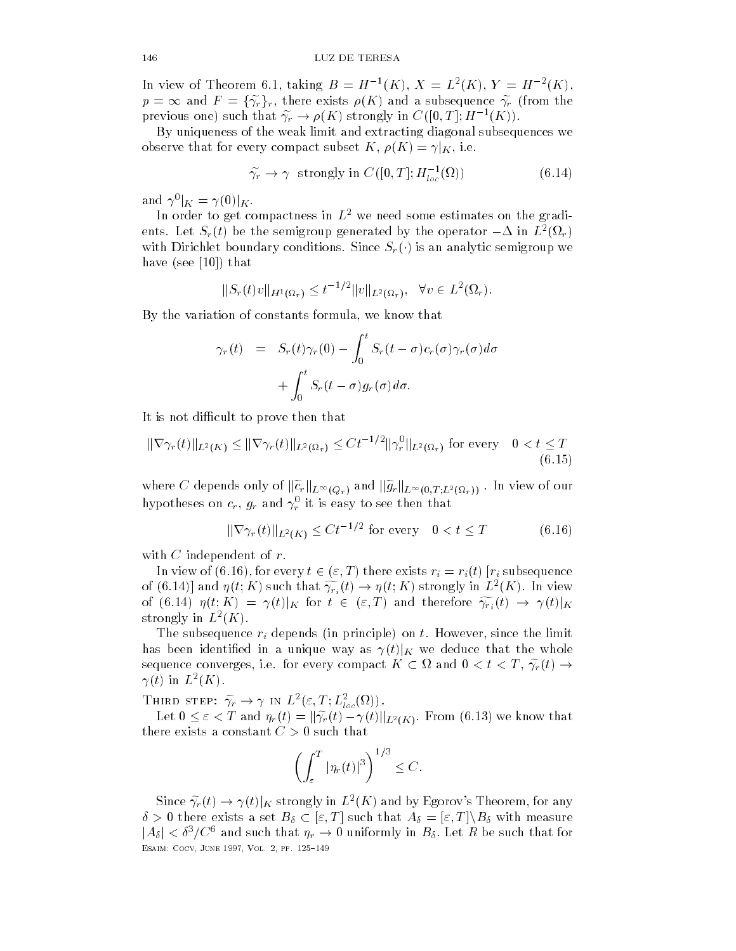In view of Theorem 0.1, taking  $D = H - (K)$ ,  $A = L (K)$ ,  $I = H - (K)$ ,  $p = \infty$  and  $F = \{\widetilde{\gamma}_r\}_r$ , there exists  $\rho(K)$  and a subsequence  $\widetilde{\gamma}_r$  (from the previous one) such that  $\widetilde{\gamma_r} \to \rho(K)$  strongly in  $C([0,T];H^{-1}(K))$ .

By uniqueness of the weak limit and extracting diagonal subsequences we observe that for every compact subset K,  $\rho(K) = \gamma|_K$ , i.e.

$$
\widetilde{\gamma}_r \to \gamma \quad \text{strongly in } C([0, T]; H_{loc}^{-1}(\Omega)) \tag{6.14}
$$

and  $\gamma^0|_K = \gamma(0)|_K$ .

In order to get compactness in  $L^2$  we need some estimates on the gradients. Let  $S_r(t)$  be the semigroup generated by the operator  $-\Delta$  in  $L^2(\Omega_r)$ with Dirichlet boundary conditions. Since  $S_r()$  is an analytic semigroup we have (see  $\lceil 10 \rceil$ ) that

$$
||S_r(t)v||_{H^1(\Omega_r)} \leq t^{-1/2} ||v||_{L^2(\Omega_r)}, \quad \forall v \in L^2(\Omega_r).
$$

By the variation of constants formula we know that

$$
\gamma_r(t) = S_r(t)\gamma_r(0) - \int_0^t S_r(t-\sigma)c_r(\sigma)\gamma_r(\sigma)d\sigma
$$

$$
+ \int_0^t S_r(t-\sigma)g_r(\sigma)d\sigma.
$$

It is not different to prove that the prove that  $\Gamma$  is not different to prove that the not different that  $\Gamma$ 

t is not difficult to prove then that  
\n
$$
\|\nabla \gamma_r(t)\|_{L^2(K)} \le \|\nabla \gamma_r(t)\|_{L^2(\Omega_r)} \le Ct^{-1/2} \|\gamma_r^0\|_{L^2(\Omega_r)}
$$
 for every  $0 < t \le T$   
\n(6.15)

where  $C$  depends only of  $\|\widetilde{c}_r\|_{L^\infty(Q_r)}$  and  $\|\widetilde{g}_r\|_{L^\infty(0,T;L^2(\Omega_r))}$  . In view of our hypotheses on  $c_r, \, g_r$  and  $\gamma_r$  it is easy to see then that

$$
\|\nabla \gamma_r(t)\|_{L^2(K)} \le C t^{-1/2} \text{ for every } 0 < t \le T \tag{6.16}
$$

with  $C$  independent of  $r$ .

In view of (6.16), for every  $t \in (\varepsilon,T)$  there exists  $r_i = r_i(t)$  [ $r_i$  subsequence of (6.14)] and  $\eta(t;K)$  such that  $\widetilde{\gamma_{r_i}}(t) \to \eta(t;K)$  strongly in  $L^2(K)$ . In view of (6.14)  $\eta(t;K) = \gamma(t)|_K$  for  $t \in (\varepsilon,T)$  and therefore  $\widetilde{\gamma_{r_i}}(t) \to \gamma(t)|_K$ strongly in  $L$   $(\Lambda)$ .

The subsequence right of principle on principle of the limit of the limit of the limit of the limit of the limit has been identified in a unique way as  $\gamma(t)|_K$  we deduce that the whole sequence converges, i.e. for every compact  $K\subset \Omega$  and  $0 < t < T, \, \widetilde{\gamma_r}(t) \rightarrow$  $\gamma(\iota)$  in  $L$  (A).

THIRD STEP:  $\widetilde{\gamma_r}\rightarrow \gamma$  in  $L^2(\varepsilon,T;L^2_{loc}(\Omega))$ .

Let  $0 \leq \varepsilon < T$  and  $\eta_r(t) = ||\widetilde{\gamma_r}(t) - \gamma(t)||_{L^2(K)}$ . From (6.13) we know that there exists a constant  $C > 0$  such that

$$
\left(\int_{\varepsilon}^T |\eta_r(t)|^3\right)^{1/3} \leq C.
$$

Since  $\widetilde{\gamma_r}(t) \to \gamma(t)|_K$  strongly in  $L^2(K)$  and by Egorov's Theorem, for any  $\delta > 0$  there exists a set  $B_{\delta} \subset [\varepsilon, T]$  such that  $A_{\delta} = [\varepsilon, T] \setminus B_{\delta}$  with measure  $|A_\delta| < \delta^3/C^6$  and such that  $\eta_r \to 0$  uniformly in  $B_\delta$ . Let R be such that for —————————————————————————————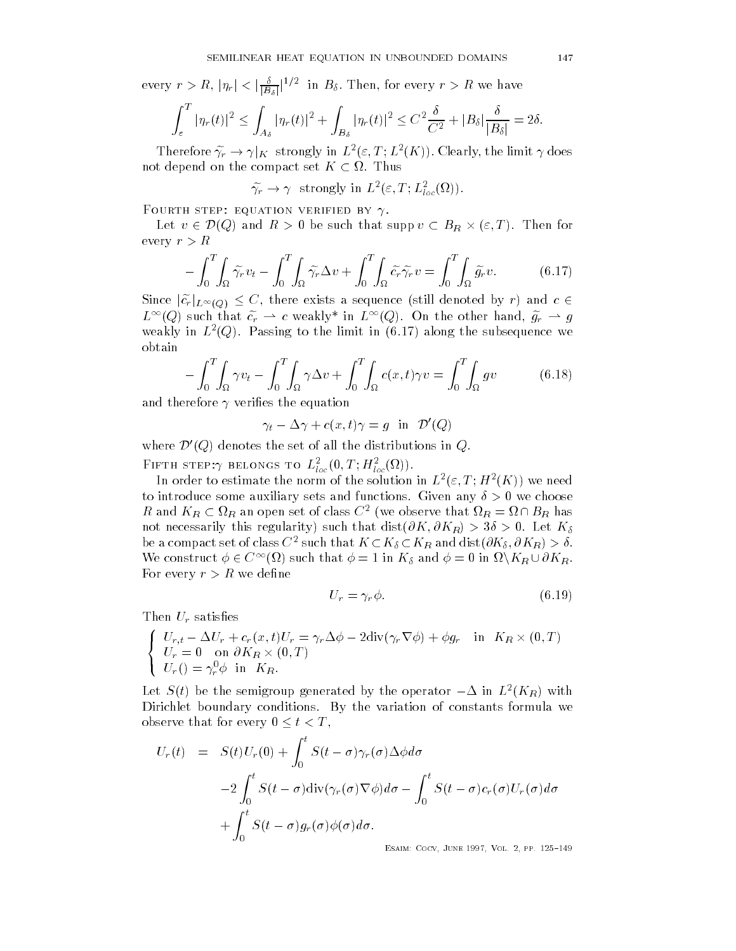every  $r>R,$   $|\eta_r|<|\frac{\delta}{|B_\delta|}|^{1/2}$  in  $B_\delta.$  Then, for every  $r>R$  we have

$$
\int_{\varepsilon}^{T} |\eta_r(t)|^2 \leq \int_{A_\delta} |\eta_r(t)|^2 + \int_{B_\delta} |\eta_r(t)|^2 \leq C^2 \frac{\delta}{C^2} + |B_\delta| \frac{\delta}{|B_\delta|} = 2\delta.
$$

Therefore  $\widetilde{\gamma_r} \to \gamma|_K$  strongly in  $L^2(\varepsilon,T;L^2(K))$ . Clearly, the limit  $\gamma$  does not depend on the compact set  $K \subset \Omega.$  Thus

 $\widetilde{\gamma_r} \to \gamma$  strongly in  $L^2(\varepsilon,T;L^2_{loc}(\Omega))$ .

 $\Gamma$  ourin stef. Equation verified by  $\gamma$ .

Let  $v \in \mathcal{D}(Q)$  and  $R > 0$  be such that supp  $v \subset B_R \times (\varepsilon, T)$ . Then for every  $r>R$ 

$$
-\int_0^T \int_{\Omega} \widetilde{\gamma}_r v_t - \int_0^T \int_{\Omega} \widetilde{\gamma}_r \Delta v + \int_0^T \int_{\Omega} \widetilde{c}_r \widetilde{\gamma}_r v = \int_0^T \int_{\Omega} \widetilde{g}_r v. \tag{6.17}
$$

Since  $|\tilde{c}_r|_{L^\infty(Q)} \leq C$ , there exists a sequence (still denoted by r) and  $c \in$  $L^{\infty}(Q)$  such that  $\tilde{c_r} \rightharpoonup c$  weakly\* in  $L^{\infty}(Q)$ . On the other hand,  $\tilde{g_r} \rightharpoonup g$ weakly in  $L(\mathbb{Q})$ . Fassing to the limit in  $(0.14)$  along the subsequence we obtain

$$
-\int_0^T \int_{\Omega} \gamma v_t - \int_0^T \int_{\Omega} \gamma \Delta v + \int_0^T \int_{\Omega} c(x, t) \gamma v = \int_0^T \int_{\Omega} g v \tag{6.18}
$$

and therefore  $\gamma$  verifies the equation

$$
\gamma_t - \Delta \gamma + c(x, t)\gamma = g \quad \text{in} \quad \mathcal{D}'(Q)
$$

where  $\mathcal{D}'(Q)$  denotes the set of all the distributions in Q. FIFTH STEPTY BELONGS TO  $L_{loc}(0,1;H_{loc}(M))$ .

In order to estimate the norm of the solution in  $L^-(\varepsilon,1$  ;  $H^-(N_1)$  we need to introduce some auxiliary sets and functions. Given any  $\delta > 0$  we choose R and  $K_R \subset \Omega_R$  an open set of class  $C^2$  (we observe that  $\Omega_R = \Omega \cap B_R$  has not necessarily the contract of the distribution of the contract of the distribution of the contract of the co be a compact set of class  $C^2$  such that  $K\subset K_{\delta}\subset K_R$  and  $\mathrm{dist}(\partial K_{\delta},\partial K_R)>\delta.$ We construct  $\phi \in C^{\infty}(\Omega)$  such that  $\phi = 1$  in  $K_{\delta}$  and  $\phi = 0$  in  $\Omega \backslash K_R \cup \partial K_R$ . For every  $r>R$  we define

$$
U_r = \gamma_r \phi. \tag{6.19}
$$

Then  $U_r$  satisfies

$$
\begin{cases}\nU_{r,t} - \Delta U_r + c_r(x,t)U_r = \gamma_r \Delta \phi - 2 \text{div}(\gamma_r \nabla \phi) + \phi g_r & \text{in } K_R \times (0,T) \\
U_r = 0 & \text{on } \partial K_R \times (0,T) \\
U_r() = \gamma_r^0 \phi & \text{in } K_R.\n\end{cases}
$$

Let  $S(t)$  be the semigroup generated by the operator  $-\Delta$  in  $L^2(K_R)$  with Dirichlet boundary conditions. By the variation of constants formula we observe that for every  $0 \leq t < T$ ,

$$
U_r(t) = S(t)U_r(0) + \int_0^t S(t-\sigma)\gamma_r(\sigma)\Delta\phi d\sigma
$$
  
-2\int\_0^t S(t-\sigma)div(\gamma\_r(\sigma)\nabla\phi)d\sigma - \int\_0^t S(t-\sigma)c\_r(\sigma)U\_r(\sigma)d\sigma  
+ \int\_0^t S(t-\sigma)g\_r(\sigma)\phi(\sigma)d\sigma.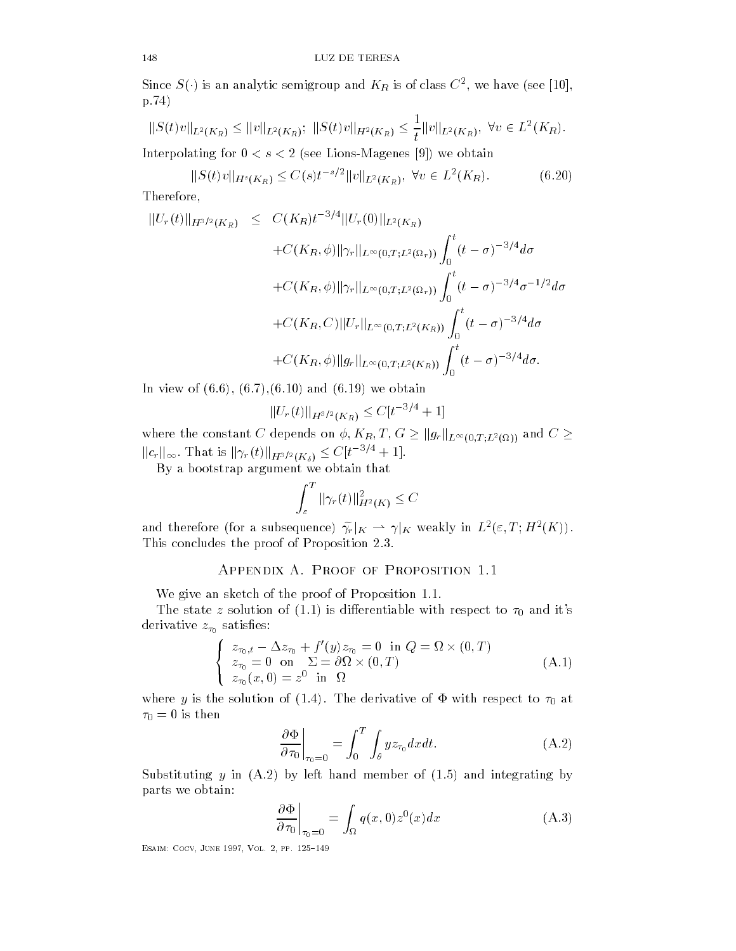Since  $S(\cdot)$  is an analytic semigroup and  $K_R$  is of class  $C^2,$  we have (see [10],  $p.74)$ 

$$
p.74)
$$
\n
$$
||S(t)v||_{L^{2}(K_{R})} \le ||v||_{L^{2}(K_{R})}; ||S(t)v||_{H^{2}(K_{R})} \le \frac{1}{t}||v||_{L^{2}(K_{R})}, \forall v \in L^{2}(K_{R}).
$$
\nIntanglating for  $0 < s < 2$  (see Lines Magnes [0]), we obtain

Interpolating for  $0 < s < 2$  (see Lions-Magenes [9]) we obtain

$$
||S(t)v||_{H^s(K_R)} \le C(s)t^{-s/2}||v||_{L^2(K_R)}, \ \forall v \in L^2(K_R). \tag{6.20}
$$

Therefore

$$
||U_r(t)||_{H^{3/2}(K_R)} \leq C(K_R)t^{-3/4}||U_r(0)||_{L^2(K_R)}
$$
  
+ $C(K_R, \phi)||\gamma_r||_{L^{\infty}(0,T;L^2(\Omega_r))}\int_0^t (t-\sigma)^{-3/4}d\sigma$   
+ $C(K_R, \phi)||\gamma_r||_{L^{\infty}(0,T;L^2(\Omega_r))}\int_0^t (t-\sigma)^{-3/4}\sigma^{-1/2}d\sigma$   
+ $C(K_R, C)||U_r||_{L^{\infty}(0,T;L^2(K_R))}\int_0^t (t-\sigma)^{-3/4}d\sigma$   
+ $C(K_R, \phi)||g_r||_{L^{\infty}(0,T;L^2(K_R))}\int_0^t (t-\sigma)^{-3/4}d\sigma$ .

 $\blacksquare$  . The contract of the contract of the contract of the contract of the contract of the contract of the contract of the contract of the contract of the contract of the contract of the contract of the contract of the

$$
||U_r(t)||_{H^{3/2}(K_R)} \le C[t^{-3/4} + 1]
$$

 $||U_r(t)||_{H^{3/2}(K_R)} \leq C[t^{-3/4} + 1]$ <br>where the constant C depends on  $\phi, K_R, T, G \geq ||g_r||_{L^{\infty}(0,T;L^2(\Omega))}$  and  $C \geq$  $||c_r||_{\infty}$ . That is  $||\gamma_r(t)||_{H^{3/2}(K_{\delta})} \leq C[t^{-3/4}+1]$ .

By a bootstrap argument we obtain that

$$
\int_{\varepsilon}^{T} \|\gamma_r(t)\|_{H^2(K)}^2 \leq C
$$

and therefore (for a subsequence)  $\widetilde{\gamma_r}|_K \rightharpoonup \gamma|_K$  weakly in  $L^2(\varepsilon,T;H^2(K)).$ This concludes the proof of Proposition 2.3.

We give an sketch of the proof of Proposition 1.1.

The state  $\sim$  solution of  $\sim$  solution of  $\sim$  solution of  $\sim$  solution of  $\sim$  solution of  $\sim$ derivative *z-statistic* structure in the satisfaction of the satisfaction of the satisfaction of the satisfaction of the satisfaction of the satisfaction of the satisfaction of the satisfaction of the satisfaction of the

$$
\begin{cases}\n z_{\tau_0,t} - \Delta z_{\tau_0} + f'(y)z_{\tau_0} = 0 \text{ in } Q = \Omega \times (0,T) \\
 z_{\tau_0} = 0 \text{ on } \Sigma = \partial \Omega \times (0,T) \\
 z_{\tau_0}(x,0) = z^0 \text{ in } \Omega\n\end{cases}
$$
\n(A.1)

where  $\alpha$  is the solution of  $\{ \pm i \, \sigma \}$  . Fine attribution of  $\pm$  with respect to  $\pm 0$  at - is then

$$
\left. \frac{\partial \Phi}{\partial \tau_0} \right|_{\tau_0 = 0} = \int_0^T \int_{\theta} y z_{\tau_0} dx dt.
$$
 (A.2)

Substituting y in  $(A.2)$  by left hand member of  $(1.5)$  and integrating by parts we obtain

$$
\left. \frac{\partial \Phi}{\partial \tau_0} \right|_{\tau_0 = 0} = \int_{\Omega} q(x, 0) z^0(x) dx \tag{A.3}
$$

—————————————————————————————